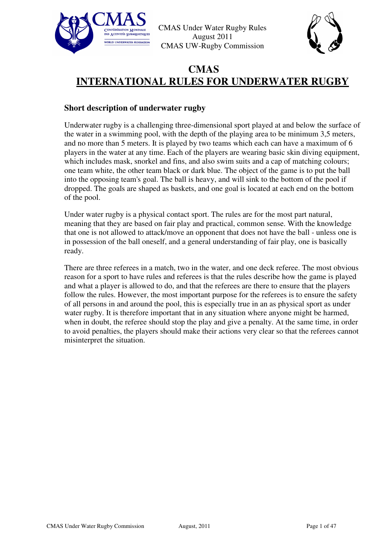



# **CMAS INTERNATIONAL RULES FOR UNDERWATER RUGBY**

#### **Short description of underwater rugby**

Underwater rugby is a challenging three-dimensional sport played at and below the surface of the water in a swimming pool, with the depth of the playing area to be minimum 3,5 meters, and no more than 5 meters. It is played by two teams which each can have a maximum of 6 players in the water at any time. Each of the players are wearing basic skin diving equipment, which includes mask, snorkel and fins, and also swim suits and a cap of matching colours; one team white, the other team black or dark blue. The object of the game is to put the ball into the opposing team's goal. The ball is heavy, and will sink to the bottom of the pool if dropped. The goals are shaped as baskets, and one goal is located at each end on the bottom of the pool.

Under water rugby is a physical contact sport. The rules are for the most part natural, meaning that they are based on fair play and practical, common sense. With the knowledge that one is not allowed to attack/move an opponent that does not have the ball - unless one is in possession of the ball oneself, and a general understanding of fair play, one is basically ready.

There are three referees in a match, two in the water, and one deck referee. The most obvious reason for a sport to have rules and referees is that the rules describe how the game is played and what a player is allowed to do, and that the referees are there to ensure that the players follow the rules. However, the most important purpose for the referees is to ensure the safety of all persons in and around the pool, this is especially true in an as physical sport as under water rugby. It is therefore important that in any situation where anyone might be harmed, when in doubt, the referee should stop the play and give a penalty. At the same time, in order to avoid penalties, the players should make their actions very clear so that the referees cannot misinterpret the situation.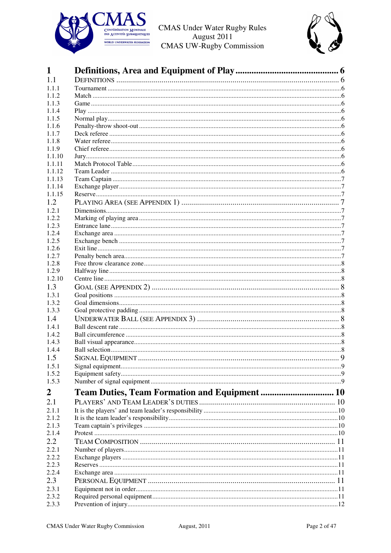



|                                               | $\mathbf Q$ |
|-----------------------------------------------|-------------|
| <b>SIGNAL EQUIPMENT</b>                       |             |
|                                               |             |
|                                               |             |
|                                               |             |
| Team Duties, Team Formation and Equipment  10 |             |
|                                               |             |
|                                               |             |
|                                               |             |
|                                               |             |
|                                               |             |
|                                               |             |
|                                               |             |
|                                               |             |
|                                               |             |
|                                               |             |
|                                               |             |
|                                               |             |
|                                               |             |
|                                               |             |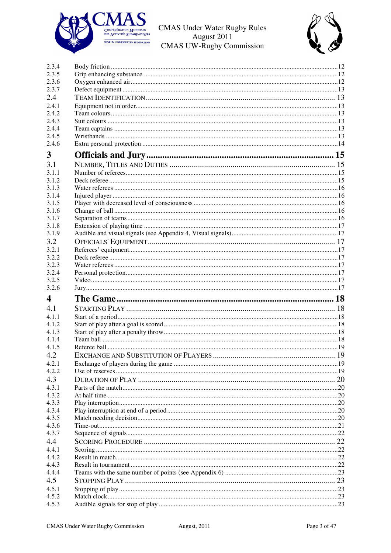



| 2.3.4                   |  |
|-------------------------|--|
| 2.3.5                   |  |
| 2.3.6                   |  |
| 2.3.7                   |  |
|                         |  |
| 2.4.1                   |  |
| 2.4.2                   |  |
| 2.4.3                   |  |
| 2.4.4                   |  |
| 2.4.5                   |  |
| 2.4.6                   |  |
|                         |  |
|                         |  |
|                         |  |
| 3.1.1                   |  |
| 3.1.2<br>3.1.3          |  |
|                         |  |
| 3.1.4                   |  |
| 3.1.5                   |  |
| 3.1.6                   |  |
| 3.1.7                   |  |
| 3.1.8                   |  |
| 3.1.9                   |  |
|                         |  |
| 3.2.1                   |  |
| 3.2.2                   |  |
| 3.2.3                   |  |
| 3.2.4                   |  |
| 3.2.5                   |  |
| 3.2.6                   |  |
|                         |  |
|                         |  |
| 4.1.1                   |  |
| 4.1.2                   |  |
|                         |  |
|                         |  |
|                         |  |
|                         |  |
|                         |  |
|                         |  |
|                         |  |
|                         |  |
|                         |  |
|                         |  |
|                         |  |
|                         |  |
|                         |  |
|                         |  |
|                         |  |
|                         |  |
|                         |  |
|                         |  |
|                         |  |
|                         |  |
|                         |  |
|                         |  |
|                         |  |
| 4.4.3<br>4.4.4<br>4.5.1 |  |
| 4.5.2<br>4.5.3          |  |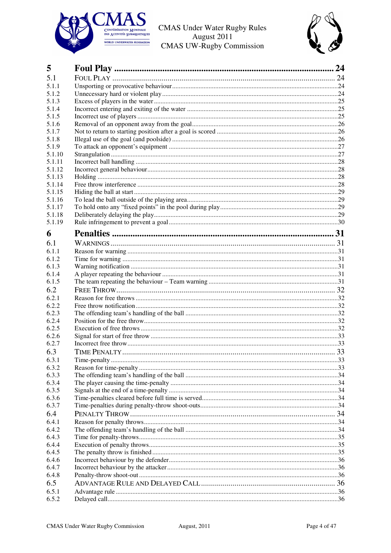



| 5      |  |
|--------|--|
| 5.1    |  |
| 5.1.1  |  |
| 5.1.2  |  |
| 5.1.3  |  |
| 5.1.4  |  |
| 5.1.5  |  |
| 5.1.6  |  |
| 5.1.7  |  |
| 5.1.8  |  |
| 5.1.9  |  |
| 5.1.10 |  |
| 5.1.11 |  |
| 5.1.12 |  |
| 5.1.13 |  |
| 5.1.14 |  |
| 5.1.15 |  |
| 5.1.16 |  |
| 5.1.17 |  |
| 5.1.18 |  |
| 5.1.19 |  |
| 6      |  |
| 6.1    |  |
| 6.1.1  |  |
| 6.1.2  |  |
| 6.1.3  |  |
| 6.1.4  |  |
| 6.1.5  |  |
| 6.2    |  |
| 6.2.1  |  |
| 6.2.2  |  |
| 6.2.3  |  |
| 6.2.4  |  |
| 6.2.5  |  |
| 6.2.6  |  |
| 6.2.7  |  |
| 6.3    |  |
| 6.3.1  |  |
| 6.3.2  |  |
| 6.3.3  |  |
| 6.3.4  |  |
| 6.3.5  |  |
| 6.3.6  |  |
| 6.3.7  |  |
| 6.4    |  |
| 6.4.1  |  |
| 6.4.2  |  |
| 6.4.3  |  |
| 6.4.4  |  |
| 6.4.5  |  |
| 6.4.6  |  |
| 6.4.7  |  |
| 6.4.8  |  |
| 6.5    |  |
| 6.5.1  |  |
| 6.5.2  |  |
|        |  |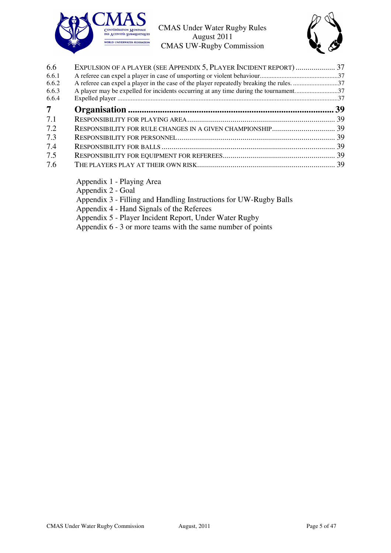

![](_page_4_Picture_2.jpeg)

| 6.6            | EXPULSION OF A PLAYER (SEE APPENDIX 5, PLAYER INCIDENT REPORT)  37                     |  |
|----------------|----------------------------------------------------------------------------------------|--|
| 6.6.1          |                                                                                        |  |
| 6.6.2          | A referee can expel a player in the case of the player repeatedly breaking the rules37 |  |
| 6.6.3          | A player may be expelled for incidents occurring at any time during the tournament37   |  |
| 6.6.4          |                                                                                        |  |
| 7 <sup>7</sup> |                                                                                        |  |
| 7.1            |                                                                                        |  |
| 7.2            |                                                                                        |  |
| 7.3            |                                                                                        |  |
| 7.4            |                                                                                        |  |
| 7.5            |                                                                                        |  |
| 7.6            |                                                                                        |  |

Appendix 1 - Playing Area

Appendix 2 - Goal

Appendix 3 - Filling and Handling Instructions for UW-Rugby Balls

Appendix 4 - Hand Signals of the Referees

Appendix 5 - Player Incident Report, Under Water Rugby

Appendix 6 - 3 or more teams with the same number of points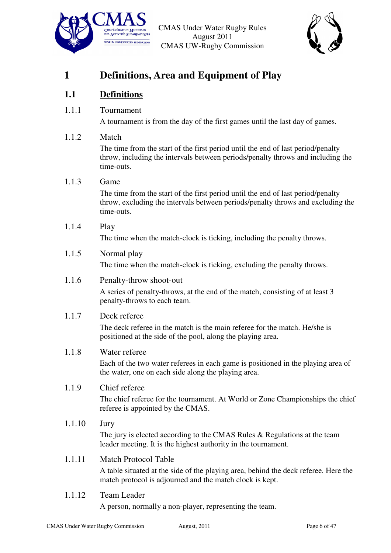![](_page_5_Picture_0.jpeg)

![](_page_5_Picture_2.jpeg)

# **1 Definitions, Area and Equipment of Play**

# **1.1 Definitions**

1.1.1 Tournament

A tournament is from the day of the first games until the last day of games.

#### 1.1.2 Match

The time from the start of the first period until the end of last period/penalty throw, including the intervals between periods/penalty throws and including the time-outs.

#### 1.1.3 Game

The time from the start of the first period until the end of last period/penalty throw, excluding the intervals between periods/penalty throws and excluding the time-outs.

1.1.4 Play

The time when the match-clock is ticking, including the penalty throws.

#### 1.1.5 Normal play

The time when the match-clock is ticking, excluding the penalty throws.

#### 1.1.6 Penalty-throw shoot-out

A series of penalty-throws, at the end of the match, consisting of at least 3 penalty-throws to each team.

#### 1.1.7 Deck referee

The deck referee in the match is the main referee for the match. He/she is positioned at the side of the pool, along the playing area.

#### 1.1.8 Water referee

Each of the two water referees in each game is positioned in the playing area of the water, one on each side along the playing area.

#### 1.1.9 Chief referee

The chief referee for the tournament. At World or Zone Championships the chief referee is appointed by the CMAS.

#### 1.1.10 Jury

The jury is elected according to the CMAS Rules & Regulations at the team leader meeting. It is the highest authority in the tournament.

#### 1.1.11 Match Protocol Table

A table situated at the side of the playing area, behind the deck referee. Here the match protocol is adjourned and the match clock is kept.

#### 1.1.12 Team Leader

A person, normally a non-player, representing the team.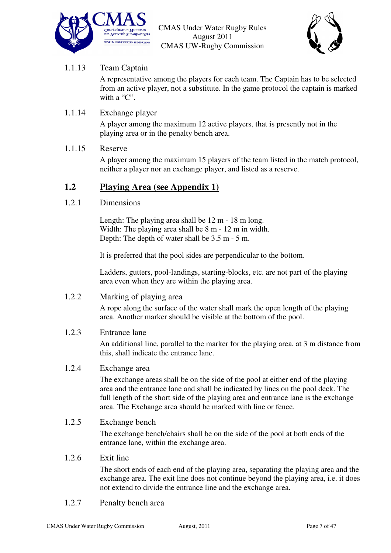![](_page_6_Picture_0.jpeg)

![](_page_6_Picture_2.jpeg)

## 1.1.13 Team Captain

A representative among the players for each team. The Captain has to be selected from an active player, not a substitute. In the game protocol the captain is marked with a "C".

#### 1.1.14 Exchange player

A player among the maximum 12 active players, that is presently not in the playing area or in the penalty bench area.

#### 1.1.15 Reserve

A player among the maximum 15 players of the team listed in the match protocol, neither a player nor an exchange player, and listed as a reserve.

#### **1.2 Playing Area (see Appendix 1)**

#### 1.2.1 Dimensions

Length: The playing area shall be 12 m - 18 m long. Width: The playing area shall be 8 m - 12 m in width. Depth: The depth of water shall be 3.5 m - 5 m.

It is preferred that the pool sides are perpendicular to the bottom.

Ladders, gutters, pool-landings, starting-blocks, etc. are not part of the playing area even when they are within the playing area.

#### 1.2.2 Marking of playing area

A rope along the surface of the water shall mark the open length of the playing area. Another marker should be visible at the bottom of the pool.

#### 1.2.3 Entrance lane

An additional line, parallel to the marker for the playing area, at 3 m distance from this, shall indicate the entrance lane.

#### 1.2.4 Exchange area

The exchange areas shall be on the side of the pool at either end of the playing area and the entrance lane and shall be indicated by lines on the pool deck. The full length of the short side of the playing area and entrance lane is the exchange area. The Exchange area should be marked with line or fence.

#### 1.2.5 Exchange bench

The exchange bench/chairs shall be on the side of the pool at both ends of the entrance lane, within the exchange area.

#### 1.2.6 Exit line

The short ends of each end of the playing area, separating the playing area and the exchange area. The exit line does not continue beyond the playing area, i.e. it does not extend to divide the entrance line and the exchange area.

1.2.7 Penalty bench area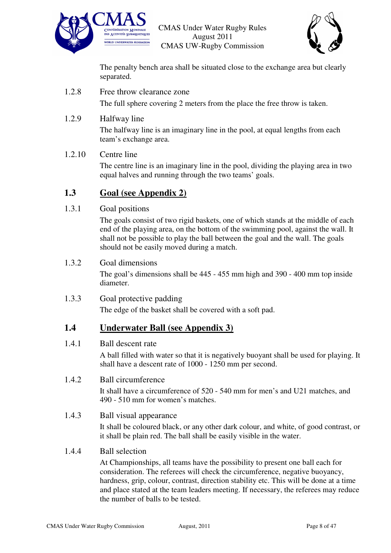![](_page_7_Picture_0.jpeg)

![](_page_7_Picture_2.jpeg)

The penalty bench area shall be situated close to the exchange area but clearly separated.

1.2.8 Free throw clearance zone

The full sphere covering 2 meters from the place the free throw is taken.

1.2.9 Halfway line

The halfway line is an imaginary line in the pool, at equal lengths from each team's exchange area.

#### 1.2.10 Centre line

The centre line is an imaginary line in the pool, dividing the playing area in two equal halves and running through the two teams' goals.

# **1.3 Goal (see Appendix 2)**

#### 1.3.1 Goal positions

The goals consist of two rigid baskets, one of which stands at the middle of each end of the playing area, on the bottom of the swimming pool, against the wall. It shall not be possible to play the ball between the goal and the wall. The goals should not be easily moved during a match.

#### 1.3.2 Goal dimensions

The goal's dimensions shall be 445 - 455 mm high and 390 - 400 mm top inside diameter.

#### 1.3.3 Goal protective padding

The edge of the basket shall be covered with a soft pad.

## **1.4 Underwater Ball (see Appendix 3)**

#### 1.4.1 Ball descent rate

A ball filled with water so that it is negatively buoyant shall be used for playing. It shall have a descent rate of 1000 - 1250 mm per second.

#### 1.4.2 Ball circumference

It shall have a circumference of 520 - 540 mm for men's and U21 matches, and 490 - 510 mm for women's matches.

#### 1.4.3 Ball visual appearance

It shall be coloured black, or any other dark colour, and white, of good contrast, or it shall be plain red. The ball shall be easily visible in the water.

#### 1.4.4 Ball selection

At Championships, all teams have the possibility to present one ball each for consideration. The referees will check the circumference, negative buoyancy, hardness, grip, colour, contrast, direction stability etc. This will be done at a time and place stated at the team leaders meeting. If necessary, the referees may reduce the number of balls to be tested.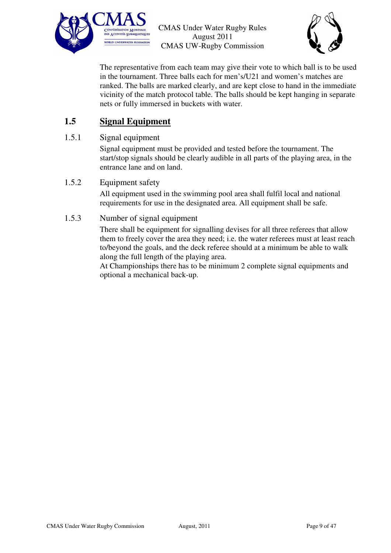![](_page_8_Picture_0.jpeg)

![](_page_8_Picture_2.jpeg)

The representative from each team may give their vote to which ball is to be used in the tournament. Three balls each for men's/U21 and women's matches are ranked. The balls are marked clearly, and are kept close to hand in the immediate vicinity of the match protocol table. The balls should be kept hanging in separate nets or fully immersed in buckets with water.

# **1.5 Signal Equipment**

#### 1.5.1 Signal equipment

Signal equipment must be provided and tested before the tournament. The start/stop signals should be clearly audible in all parts of the playing area, in the entrance lane and on land.

#### 1.5.2 Equipment safety

All equipment used in the swimming pool area shall fulfil local and national requirements for use in the designated area. All equipment shall be safe.

#### 1.5.3 Number of signal equipment

There shall be equipment for signalling devises for all three referees that allow them to freely cover the area they need; i.e. the water referees must at least reach to/beyond the goals, and the deck referee should at a minimum be able to walk along the full length of the playing area.

At Championships there has to be minimum 2 complete signal equipments and optional a mechanical back-up.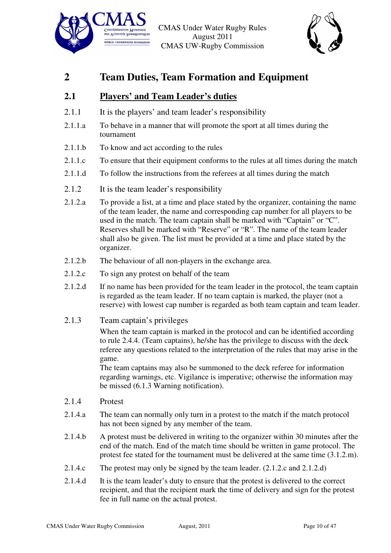![](_page_9_Picture_0.jpeg)

![](_page_9_Picture_2.jpeg)

# **2 Team Duties, Team Formation and Equipment**

# **2.1 Players' and Team Leader's duties**

- 2.1.1 It is the players' and team leader's responsibility
- 2.1.1.a To behave in a manner that will promote the sport at all times during the tournament
- 2.1.1.b To know and act according to the rules
- 2.1.1.c To ensure that their equipment conforms to the rules at all times during the match
- 2.1.1.d To follow the instructions from the referees at all times during the match
- 2.1.2 It is the team leader's responsibility
- 2.1.2.a To provide a list, at a time and place stated by the organizer, containing the name of the team leader, the name and corresponding cap number for all players to be used in the match. The team captain shall be marked with "Captain" or "C". Reserves shall be marked with "Reserve" or "R". The name of the team leader shall also be given. The list must be provided at a time and place stated by the organizer.
- 2.1.2.b The behaviour of all non-players in the exchange area.
- 2.1.2.c To sign any protest on behalf of the team
- 2.1.2.d If no name has been provided for the team leader in the protocol, the team captain is regarded as the team leader. If no team captain is marked, the player (not a reserve) with lowest cap number is regarded as both team captain and team leader.
- 2.1.3 Team captain's privileges

When the team captain is marked in the protocol and can be identified according to rule 2.4.4. (Team captains), he/she has the privilege to discuss with the deck referee any questions related to the interpretation of the rules that may arise in the game.

The team captains may also be summoned to the deck referee for information regarding warnings, etc. Vigilance is imperative; otherwise the information may be missed (6.1.3 Warning notification).

- 2.1.4 Protest
- 2.1.4.a The team can normally only turn in a protest to the match if the match protocol has not been signed by any member of the team.
- 2.1.4.b A protest must be delivered in writing to the organizer within 30 minutes after the end of the match. End of the match time should be written in game protocol. The protest fee stated for the tournament must be delivered at the same time (3.1.2.m).
- 2.1.4.c The protest may only be signed by the team leader. (2.1.2.c and 2.1.2.d)
- 2.1.4.d It is the team leader's duty to ensure that the protest is delivered to the correct recipient, and that the recipient mark the time of delivery and sign for the protest fee in full name on the actual protest.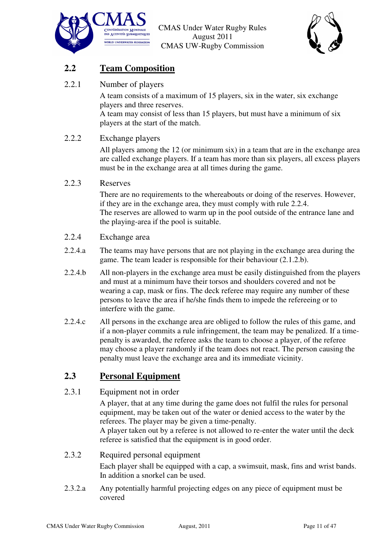![](_page_10_Picture_0.jpeg)

![](_page_10_Picture_2.jpeg)

# **2.2 Team Composition**

2.2.1 Number of players

A team consists of a maximum of 15 players, six in the water, six exchange players and three reserves.

A team may consist of less than 15 players, but must have a minimum of six players at the start of the match.

#### 2.2.2 Exchange players

All players among the 12 (or minimum six) in a team that are in the exchange area are called exchange players. If a team has more than six players, all excess players must be in the exchange area at all times during the game.

#### 2.2.3 Reserves

There are no requirements to the whereabouts or doing of the reserves. However, if they are in the exchange area, they must comply with rule 2.2.4. The reserves are allowed to warm up in the pool outside of the entrance lane and the playing-area if the pool is suitable.

#### 2.2.4 Exchange area

- 2.2.4.a The teams may have persons that are not playing in the exchange area during the game. The team leader is responsible for their behaviour (2.1.2.b).
- 2.2.4.b All non-players in the exchange area must be easily distinguished from the players and must at a minimum have their torsos and shoulders covered and not be wearing a cap, mask or fins. The deck referee may require any number of these persons to leave the area if he/she finds them to impede the refereeing or to interfere with the game.
- 2.2.4.c All persons in the exchange area are obliged to follow the rules of this game, and if a non-player commits a rule infringement, the team may be penalized. If a timepenalty is awarded, the referee asks the team to choose a player, of the referee may choose a player randomly if the team does not react. The person causing the penalty must leave the exchange area and its immediate vicinity.

# **2.3 Personal Equipment**

#### 2.3.1 Equipment not in order

A player, that at any time during the game does not fulfil the rules for personal equipment, may be taken out of the water or denied access to the water by the referees. The player may be given a time-penalty.

A player taken out by a referee is not allowed to re-enter the water until the deck referee is satisfied that the equipment is in good order.

#### 2.3.2 Required personal equipment

Each player shall be equipped with a cap, a swimsuit, mask, fins and wrist bands. In addition a snorkel can be used.

2.3.2.a Any potentially harmful projecting edges on any piece of equipment must be covered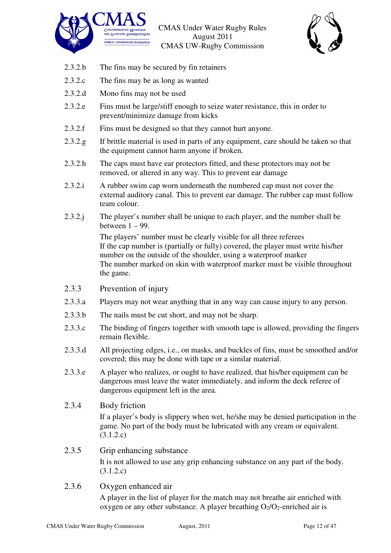![](_page_11_Picture_0.jpeg)

![](_page_11_Picture_2.jpeg)

- 2.3.2.b The fins may be secured by fin retainers
- 2.3.2.c The fins may be as long as wanted
- 2.3.2.d Mono fins may not be used
- 2.3.2.e Fins must be large/stiff enough to seize water resistance, this in order to prevent/minimize damage from kicks
- 2.3.2.f Fins must be designed so that they cannot hurt anyone.
- 2.3.2.g If brittle material is used in parts of any equipment, care should be taken so that the equipment cannot harm anyone if broken.
- 2.3.2.h The caps must have ear protectors fitted, and these protectors may not be removed, or altered in any way. This to prevent ear damage
- 2.3.2.i A rubber swim cap worn underneath the numbered cap must not cover the external auditory canal. This to prevent ear damage. The rubber cap must follow team colour.
- 2.3.2.j The player's number shall be unique to each player, and the number shall be between  $1 - 99$ .

The players' number must be clearly visible for all three referees If the cap number is (partially or fully) covered, the player must write his/her number on the outside of the shoulder, using a waterproof marker The number marked on skin with waterproof marker must be visible throughout the game.

- 2.3.3 Prevention of injury
- 2.3.3.a Players may not wear anything that in any way can cause injury to any person.
- 2.3.3.b The nails must be cut short, and may not be sharp.
- 2.3.3.c The binding of fingers together with smooth tape is allowed, providing the fingers remain flexible.
- 2.3.3.d All projecting edges, i.e., on masks, and buckles of fins, must be smoothed and/or covered; this may be done with tape or a similar material.
- 2.3.3.e A player who realizes, or ought to have realized, that his/her equipment can be dangerous must leave the water immediately, and inform the deck referee of dangerous equipment left in the area.
- 2.3.4 Body friction

If a player's body is slippery when wet, he/she may be denied participation in the game. No part of the body must be lubricated with any cream or equivalent. (3.1.2.c)

- 2.3.5 Grip enhancing substance It is not allowed to use any grip enhancing substance on any part of the body. (3.1.2.c)
- 2.3.6 Oxygen enhanced air

A player in the list of player for the match may not breathe air enriched with oxygen or any other substance. A player breathing  $O_2/O_2$ -enriched air is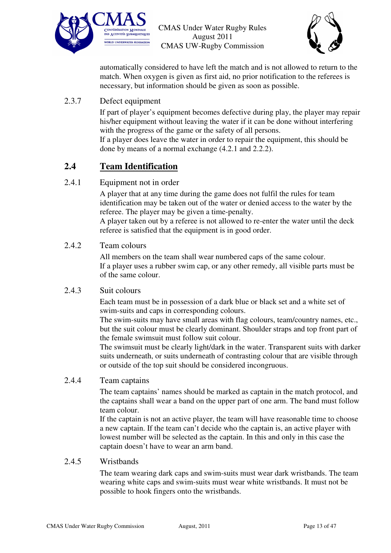![](_page_12_Picture_0.jpeg)

![](_page_12_Picture_2.jpeg)

automatically considered to have left the match and is not allowed to return to the match. When oxygen is given as first aid, no prior notification to the referees is necessary, but information should be given as soon as possible.

#### 2.3.7 Defect equipment

If part of player's equipment becomes defective during play, the player may repair his/her equipment without leaving the water if it can be done without interfering with the progress of the game or the safety of all persons.

If a player does leave the water in order to repair the equipment, this should be done by means of a normal exchange (4.2.1 and 2.2.2).

## **2.4 Team Identification**

#### 2.4.1 Equipment not in order

A player that at any time during the game does not fulfil the rules for team identification may be taken out of the water or denied access to the water by the referee. The player may be given a time-penalty.

A player taken out by a referee is not allowed to re-enter the water until the deck referee is satisfied that the equipment is in good order.

#### 2.4.2 Team colours

All members on the team shall wear numbered caps of the same colour. If a player uses a rubber swim cap, or any other remedy, all visible parts must be of the same colour.

#### 2.4.3 Suit colours

Each team must be in possession of a dark blue or black set and a white set of swim-suits and caps in corresponding colours.

The swim-suits may have small areas with flag colours, team/country names, etc., but the suit colour must be clearly dominant. Shoulder straps and top front part of the female swimsuit must follow suit colour.

The swimsuit must be clearly light/dark in the water. Transparent suits with darker suits underneath, or suits underneath of contrasting colour that are visible through or outside of the top suit should be considered incongruous.

#### 2.4.4 Team captains

The team captains' names should be marked as captain in the match protocol, and the captains shall wear a band on the upper part of one arm. The band must follow team colour.

If the captain is not an active player, the team will have reasonable time to choose a new captain. If the team can't decide who the captain is, an active player with lowest number will be selected as the captain. In this and only in this case the captain doesn't have to wear an arm band.

#### 2.4.5 Wristbands

The team wearing dark caps and swim-suits must wear dark wristbands. The team wearing white caps and swim-suits must wear white wristbands. It must not be possible to hook fingers onto the wristbands.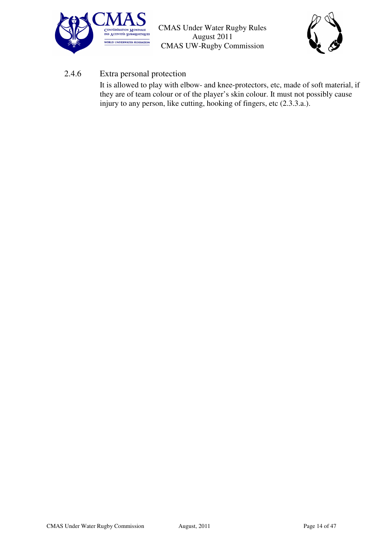![](_page_13_Picture_0.jpeg)

![](_page_13_Picture_2.jpeg)

#### 2.4.6 Extra personal protection

It is allowed to play with elbow- and knee-protectors, etc, made of soft material, if they are of team colour or of the player's skin colour. It must not possibly cause injury to any person, like cutting, hooking of fingers, etc (2.3.3.a.).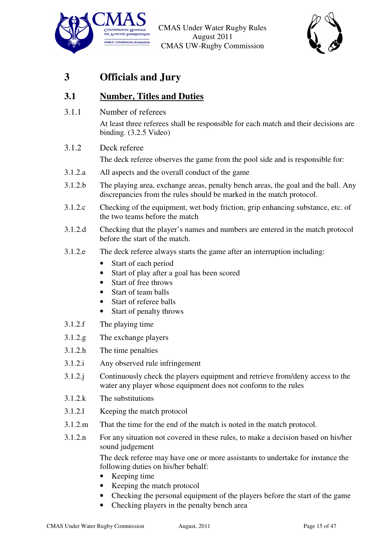![](_page_14_Picture_0.jpeg)

![](_page_14_Picture_2.jpeg)

# **3 Officials and Jury**

# **3.1 Number, Titles and Duties**

3.1.1 Number of referees

At least three referees shall be responsible for each match and their decisions are binding. (3.2.5 Video)

3.1.2 Deck referee

The deck referee observes the game from the pool side and is responsible for:

- 3.1.2.a All aspects and the overall conduct of the game
- 3.1.2.b The playing area, exchange areas, penalty bench areas, the goal and the ball. Any discrepancies from the rules should be marked in the match protocol.
- 3.1.2.c Checking of the equipment, wet body friction, grip enhancing substance, etc. of the two teams before the match
- 3.1.2.d Checking that the player's names and numbers are entered in the match protocol before the start of the match.
- 3.1.2.e The deck referee always starts the game after an interruption including:
	- Start of each period
	- Start of play after a goal has been scored
	- Start of free throws
	- Start of team halls
	- Start of referee balls
	- Start of penalty throws
- 3.1.2.f The playing time
- 3.1.2.g The exchange players
- 3.1.2.h The time penalties
- 3.1.2.i Any observed rule infringement
- 3.1.2.j Continuously check the players equipment and retrieve from/deny access to the water any player whose equipment does not conform to the rules
- 3.1.2.k The substitutions
- 3.1.2.l Keeping the match protocol
- 3.1.2.m That the time for the end of the match is noted in the match protocol.
- 3.1.2.n For any situation not covered in these rules, to make a decision based on his/her sound judgement

The deck referee may have one or more assistants to undertake for instance the following duties on his/her behalf:

- Keeping time
- Keeping the match protocol
- Checking the personal equipment of the players before the start of the game
- Checking players in the penalty bench area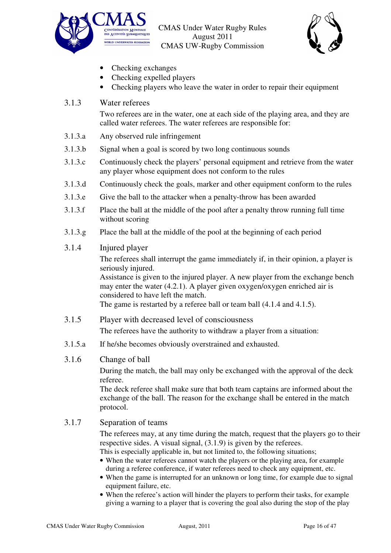![](_page_15_Picture_0.jpeg)

![](_page_15_Picture_2.jpeg)

- Checking exchanges
- Checking expelled players
- Checking players who leave the water in order to repair their equipment

#### 3.1.3 Water referees

Two referees are in the water, one at each side of the playing area, and they are called water referees. The water referees are responsible for:

- 3.1.3.a Any observed rule infringement
- 3.1.3.b Signal when a goal is scored by two long continuous sounds
- 3.1.3.c Continuously check the players' personal equipment and retrieve from the water any player whose equipment does not conform to the rules
- 3.1.3.d Continuously check the goals, marker and other equipment conform to the rules
- 3.1.3.e Give the ball to the attacker when a penalty-throw has been awarded
- 3.1.3.f Place the ball at the middle of the pool after a penalty throw running full time without scoring
- 3.1.3.g Place the ball at the middle of the pool at the beginning of each period

#### 3.1.4 Injured player

The referees shall interrupt the game immediately if, in their opinion, a player is seriously injured.

Assistance is given to the injured player. A new player from the exchange bench may enter the water (4.2.1). A player given oxygen/oxygen enriched air is considered to have left the match.

The game is restarted by a referee ball or team ball  $(4.1.4 \text{ and } 4.1.5)$ .

- 3.1.5 Player with decreased level of consciousness The referees have the authority to withdraw a player from a situation:
- 3.1.5.a If he/she becomes obviously overstrained and exhausted.

#### 3.1.6 Change of ball

During the match, the ball may only be exchanged with the approval of the deck referee.

The deck referee shall make sure that both team captains are informed about the exchange of the ball. The reason for the exchange shall be entered in the match protocol.

#### 3.1.7 Separation of teams

The referees may, at any time during the match, request that the players go to their respective sides. A visual signal, (3.1.9) is given by the referees.

This is especially applicable in, but not limited to, the following situations;

- When the water referees cannot watch the players or the playing area, for example during a referee conference, if water referees need to check any equipment, etc.
- When the game is interrupted for an unknown or long time, for example due to signal equipment failure, etc.
- When the referee's action will hinder the players to perform their tasks, for example giving a warning to a player that is covering the goal also during the stop of the play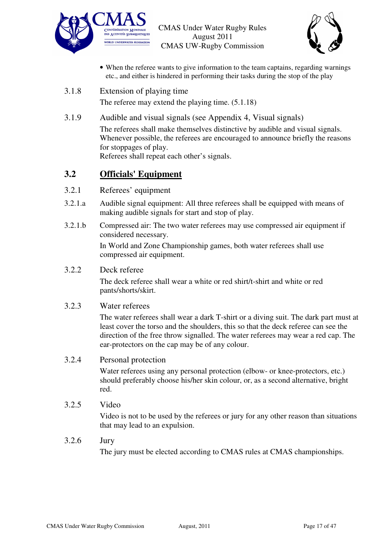![](_page_16_Picture_0.jpeg)

![](_page_16_Picture_2.jpeg)

- When the referee wants to give information to the team captains, regarding warnings etc., and either is hindered in performing their tasks during the stop of the play
- 3.1.8 Extension of playing time

The referee may extend the playing time. (5.1.18)

3.1.9 Audible and visual signals (see Appendix 4, Visual signals) The referees shall make themselves distinctive by audible and visual signals. Whenever possible, the referees are encouraged to announce briefly the reasons for stoppages of play. Referees shall repeat each other's signals.

### **3.2 Officials' Equipment**

- 3.2.1 Referees' equipment
- 3.2.1.a Audible signal equipment: All three referees shall be equipped with means of making audible signals for start and stop of play.
- 3.2.1.b Compressed air: The two water referees may use compressed air equipment if considered necessary.

In World and Zone Championship games, both water referees shall use compressed air equipment.

#### 3.2.2 Deck referee

The deck referee shall wear a white or red shirt/t-shirt and white or red pants/shorts/skirt.

#### 3.2.3 Water referees

The water referees shall wear a dark T-shirt or a diving suit. The dark part must at least cover the torso and the shoulders, this so that the deck referee can see the direction of the free throw signalled. The water referees may wear a red cap. The ear-protectors on the cap may be of any colour.

#### 3.2.4 Personal protection

Water referees using any personal protection (elbow- or knee-protectors, etc.) should preferably choose his/her skin colour, or, as a second alternative, bright red.

3.2.5 Video

Video is not to be used by the referees or jury for any other reason than situations that may lead to an expulsion.

#### 3.2.6 Jury

The jury must be elected according to CMAS rules at CMAS championships.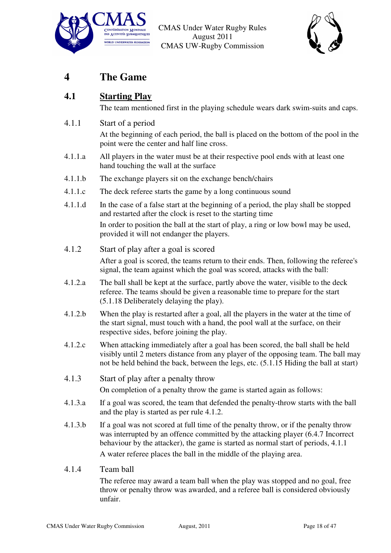![](_page_17_Picture_0.jpeg)

![](_page_17_Picture_2.jpeg)

# **4 The Game**

## **4.1 Starting Play**

The team mentioned first in the playing schedule wears dark swim-suits and caps.

4.1.1 Start of a period

At the beginning of each period, the ball is placed on the bottom of the pool in the point were the center and half line cross.

- 4.1.1.a All players in the water must be at their respective pool ends with at least one hand touching the wall at the surface
- 4.1.1.b The exchange players sit on the exchange bench/chairs
- 4.1.1.c The deck referee starts the game by a long continuous sound
- 4.1.1.d In the case of a false start at the beginning of a period, the play shall be stopped and restarted after the clock is reset to the starting time In order to position the ball at the start of play, a ring or low bowl may be used, provided it will not endanger the players.
- 4.1.2 Start of play after a goal is scored

After a goal is scored, the teams return to their ends. Then, following the referee's signal, the team against which the goal was scored, attacks with the ball:

- 4.1.2.a The ball shall be kept at the surface, partly above the water, visible to the deck referee. The teams should be given a reasonable time to prepare for the start (5.1.18 Deliberately delaying the play).
- 4.1.2.b When the play is restarted after a goal, all the players in the water at the time of the start signal, must touch with a hand, the pool wall at the surface, on their respective sides, before joining the play.
- 4.1.2.c When attacking immediately after a goal has been scored, the ball shall be held visibly until 2 meters distance from any player of the opposing team. The ball may not be held behind the back, between the legs, etc. (5.1.15 Hiding the ball at start)
- 4.1.3 Start of play after a penalty throw On completion of a penalty throw the game is started again as follows:
- 4.1.3.a If a goal was scored, the team that defended the penalty-throw starts with the ball and the play is started as per rule 4.1.2.
- 4.1.3.b If a goal was not scored at full time of the penalty throw, or if the penalty throw was interrupted by an offence committed by the attacking player (6.4.7 Incorrect behaviour by the attacker), the game is started as normal start of periods, 4.1.1 A water referee places the ball in the middle of the playing area.

#### 4.1.4 Team ball

The referee may award a team ball when the play was stopped and no goal, free throw or penalty throw was awarded, and a referee ball is considered obviously unfair.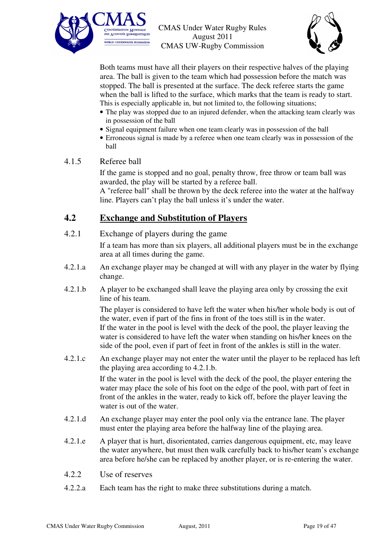![](_page_18_Picture_0.jpeg)

![](_page_18_Picture_2.jpeg)

Both teams must have all their players on their respective halves of the playing area. The ball is given to the team which had possession before the match was stopped. The ball is presented at the surface. The deck referee starts the game when the ball is lifted to the surface, which marks that the team is ready to start. This is especially applicable in, but not limited to, the following situations;

- The play was stopped due to an injured defender, when the attacking team clearly was in possession of the ball
- Signal equipment failure when one team clearly was in possession of the ball
- Erroneous signal is made by a referee when one team clearly was in possession of the ball

#### 4.1.5 Referee ball

If the game is stopped and no goal, penalty throw, free throw or team ball was awarded, the play will be started by a referee ball.

A "referee ball" shall be thrown by the deck referee into the water at the halfway line. Players can't play the ball unless it's under the water.

#### **4.2 Exchange and Substitution of Players**

4.2.1 Exchange of players during the game

If a team has more than six players, all additional players must be in the exchange area at all times during the game.

- 4.2.1.a An exchange player may be changed at will with any player in the water by flying change.
- 4.2.1.b A player to be exchanged shall leave the playing area only by crossing the exit line of his team.

The player is considered to have left the water when his/her whole body is out of the water, even if part of the fins in front of the toes still is in the water. If the water in the pool is level with the deck of the pool, the player leaving the water is considered to have left the water when standing on his/her knees on the side of the pool, even if part of feet in front of the ankles is still in the water.

4.2.1.c An exchange player may not enter the water until the player to be replaced has left the playing area according to 4.2.1.b.

If the water in the pool is level with the deck of the pool, the player entering the water may place the sole of his foot on the edge of the pool, with part of feet in front of the ankles in the water, ready to kick off, before the player leaving the water is out of the water.

- 4.2.1.d An exchange player may enter the pool only via the entrance lane. The player must enter the playing area before the halfway line of the playing area.
- 4.2.1.e A player that is hurt, disorientated, carries dangerous equipment, etc, may leave the water anywhere, but must then walk carefully back to his/her team's exchange area before he/she can be replaced by another player, or is re-entering the water.
- 4.2.2 Use of reserves
- 4.2.2.a Each team has the right to make three substitutions during a match.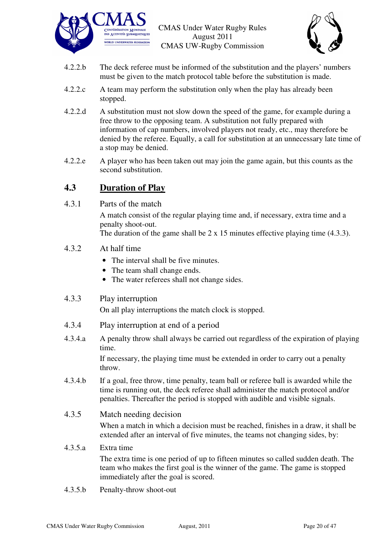![](_page_19_Picture_0.jpeg)

![](_page_19_Picture_2.jpeg)

- 4.2.2.b The deck referee must be informed of the substitution and the players' numbers must be given to the match protocol table before the substitution is made.
- 4.2.2.c A team may perform the substitution only when the play has already been stopped.
- 4.2.2.d A substitution must not slow down the speed of the game, for example during a free throw to the opposing team. A substitution not fully prepared with information of cap numbers, involved players not ready, etc., may therefore be denied by the referee. Equally, a call for substitution at an unnecessary late time of a stop may be denied.
- 4.2.2.e A player who has been taken out may join the game again, but this counts as the second substitution.

### **4.3 Duration of Play**

4.3.1 Parts of the match

A match consist of the regular playing time and, if necessary, extra time and a penalty shoot-out.

The duration of the game shall be  $2 \times 15$  minutes effective playing time (4.3.3).

#### 4.3.2 At half time

- The interval shall be five minutes.
- The team shall change ends.
- The water referees shall not change sides.

#### 4.3.3 Play interruption

On all play interruptions the match clock is stopped.

- 4.3.4 Play interruption at end of a period
- 4.3.4.a A penalty throw shall always be carried out regardless of the expiration of playing time.

If necessary, the playing time must be extended in order to carry out a penalty throw.

- 4.3.4.b If a goal, free throw, time penalty, team ball or referee ball is awarded while the time is running out, the deck referee shall administer the match protocol and/or penalties. Thereafter the period is stopped with audible and visible signals.
- 4.3.5 Match needing decision

When a match in which a decision must be reached, finishes in a draw, it shall be extended after an interval of five minutes, the teams not changing sides, by:

# 4.3.5.a Extra time

The extra time is one period of up to fifteen minutes so called sudden death. The team who makes the first goal is the winner of the game. The game is stopped immediately after the goal is scored.

4.3.5.b Penalty-throw shoot-out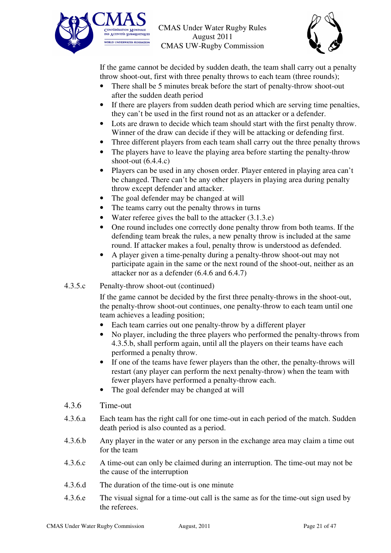![](_page_20_Picture_0.jpeg)

![](_page_20_Picture_2.jpeg)

If the game cannot be decided by sudden death, the team shall carry out a penalty throw shoot-out, first with three penalty throws to each team (three rounds);

- There shall be 5 minutes break before the start of penalty-throw shoot-out after the sudden death period
- If there are players from sudden death period which are serving time penalties, they can't be used in the first round not as an attacker or a defender.
- Lots are drawn to decide which team should start with the first penalty throw. Winner of the draw can decide if they will be attacking or defending first.
- Three different players from each team shall carry out the three penalty throws
- The players have to leave the playing area before starting the penalty-throw shoot-out  $(6.4.4.c)$
- Players can be used in any chosen order. Player entered in playing area can't be changed. There can't be any other players in playing area during penalty throw except defender and attacker.
- The goal defender may be changed at will
- The teams carry out the penalty throws in turns
- Water referee gives the ball to the attacker (3.1.3.e)
- One round includes one correctly done penalty throw from both teams. If the defending team break the rules, a new penalty throw is included at the same round. If attacker makes a foul, penalty throw is understood as defended.
- A player given a time-penalty during a penalty-throw shoot-out may not participate again in the same or the next round of the shoot-out, neither as an attacker nor as a defender (6.4.6 and 6.4.7)

#### 4.3.5.c Penalty-throw shoot-out (continued)

If the game cannot be decided by the first three penalty-throws in the shoot-out, the penalty-throw shoot-out continues, one penalty-throw to each team until one team achieves a leading position;

- Each team carries out one penalty-throw by a different player
- No player, including the three players who performed the penalty-throws from 4.3.5.b, shall perform again, until all the players on their teams have each performed a penalty throw.
- If one of the teams have fewer players than the other, the penalty-throws will restart (any player can perform the next penalty-throw) when the team with fewer players have performed a penalty-throw each.
- The goal defender may be changed at will
- 4.3.6 Time-out
- 4.3.6.a Each team has the right call for one time-out in each period of the match. Sudden death period is also counted as a period.
- 4.3.6.b Any player in the water or any person in the exchange area may claim a time out for the team
- 4.3.6.c A time-out can only be claimed during an interruption. The time-out may not be the cause of the interruption
- 4.3.6.d The duration of the time-out is one minute
- 4.3.6.e The visual signal for a time-out call is the same as for the time-out sign used by the referees.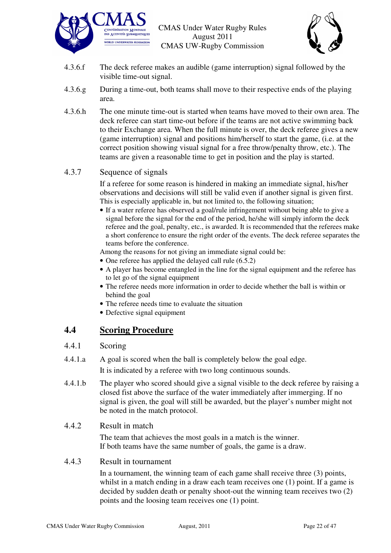![](_page_21_Picture_0.jpeg)

![](_page_21_Picture_2.jpeg)

- 4.3.6.f The deck referee makes an audible (game interruption) signal followed by the visible time-out signal.
- 4.3.6.g During a time-out, both teams shall move to their respective ends of the playing area.
- 4.3.6.h The one minute time-out is started when teams have moved to their own area. The deck referee can start time-out before if the teams are not active swimming back to their Exchange area. When the full minute is over, the deck referee gives a new (game interruption) signal and positions him/herself to start the game, (i.e. at the correct position showing visual signal for a free throw/penalty throw, etc.). The teams are given a reasonable time to get in position and the play is started.

#### 4.3.7 Sequence of signals

If a referee for some reason is hindered in making an immediate signal, his/her observations and decisions will still be valid even if another signal is given first. This is especially applicable in, but not limited to, the following situation;

• If a water referee has observed a goal/rule infringement without being able to give a signal before the signal for the end of the period, he/she will simply inform the deck referee and the goal, penalty, etc., is awarded. It is recommended that the referees make a short conference to ensure the right order of the events. The deck referee separates the teams before the conference.

Among the reasons for not giving an immediate signal could be:

- One referee has applied the delayed call rule  $(6.5.2)$
- A player has become entangled in the line for the signal equipment and the referee has to let go of the signal equipment
- The referee needs more information in order to decide whether the ball is within or behind the goal
- The referee needs time to evaluate the situation
- Defective signal equipment

## **4.4 Scoring Procedure**

#### 4.4.1 Scoring

- 4.4.1.a A goal is scored when the ball is completely below the goal edge. It is indicated by a referee with two long continuous sounds.
- 4.4.1.b The player who scored should give a signal visible to the deck referee by raising a closed fist above the surface of the water immediately after immerging. If no signal is given, the goal will still be awarded, but the player's number might not be noted in the match protocol.

#### 4.4.2 Result in match

The team that achieves the most goals in a match is the winner. If both teams have the same number of goals, the game is a draw.

#### 4.4.3 Result in tournament

In a tournament, the winning team of each game shall receive three (3) points, whilst in a match ending in a draw each team receives one (1) point. If a game is decided by sudden death or penalty shoot-out the winning team receives two (2) points and the loosing team receives one (1) point.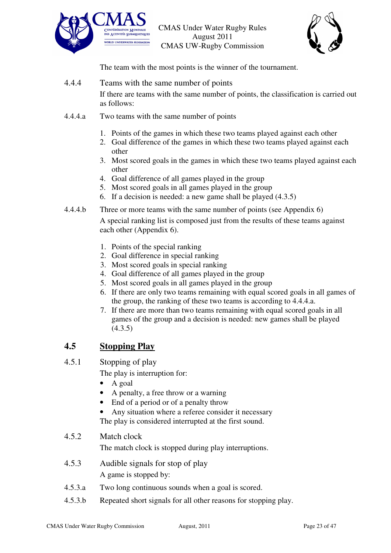![](_page_22_Picture_0.jpeg)

![](_page_22_Picture_2.jpeg)

The team with the most points is the winner of the tournament.

4.4.4 Teams with the same number of points

If there are teams with the same number of points, the classification is carried out as follows:

- 4.4.4.a Two teams with the same number of points
	- 1. Points of the games in which these two teams played against each other
	- 2. Goal difference of the games in which these two teams played against each other
	- 3. Most scored goals in the games in which these two teams played against each other
	- 4. Goal difference of all games played in the group
	- 5. Most scored goals in all games played in the group
	- 6. If a decision is needed: a new game shall be played (4.3.5)
- 4.4.4.b Three or more teams with the same number of points (see Appendix 6)

A special ranking list is composed just from the results of these teams against each other (Appendix 6).

- 1. Points of the special ranking
- 2. Goal difference in special ranking
- 3. Most scored goals in special ranking
- 4. Goal difference of all games played in the group
- 5. Most scored goals in all games played in the group
- 6. If there are only two teams remaining with equal scored goals in all games of the group, the ranking of these two teams is according to 4.4.4.a.
- 7. If there are more than two teams remaining with equal scored goals in all games of the group and a decision is needed: new games shall be played  $(4.3.5)$

#### **4.5 Stopping Play**

4.5.1 Stopping of play

The play is interruption for:

- A goal
- A penalty, a free throw or a warning
- End of a period or of a penalty throw
- Any situation where a referee consider it necessary The play is considered interrupted at the first sound.

#### 4.5.2 Match clock

The match clock is stopped during play interruptions.

- 4.5.3 Audible signals for stop of play A game is stopped by:
- 4.5.3.a Two long continuous sounds when a goal is scored.
- 4.5.3.b Repeated short signals for all other reasons for stopping play.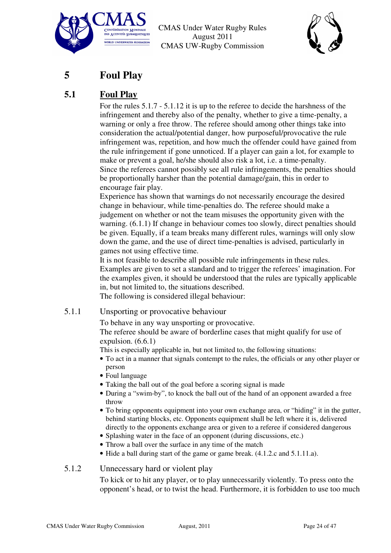![](_page_23_Picture_0.jpeg)

![](_page_23_Picture_2.jpeg)

# **5 Foul Play**

# **5.1 Foul Play**

For the rules 5.1.7 - 5.1.12 it is up to the referee to decide the harshness of the infringement and thereby also of the penalty, whether to give a time-penalty, a warning or only a free throw. The referee should among other things take into consideration the actual/potential danger, how purposeful/provocative the rule infringement was, repetition, and how much the offender could have gained from the rule infringement if gone unnoticed. If a player can gain a lot, for example to make or prevent a goal, he/she should also risk a lot, i.e. a time-penalty. Since the referees cannot possibly see all rule infringements, the penalties should be proportionally harsher than the potential damage/gain, this in order to encourage fair play.

Experience has shown that warnings do not necessarily encourage the desired change in behaviour, while time-penalties do. The referee should make a judgement on whether or not the team misuses the opportunity given with the warning. (6.1.1) If change in behaviour comes too slowly, direct penalties should be given. Equally, if a team breaks many different rules, warnings will only slow down the game, and the use of direct time-penalties is advised, particularly in games not using effective time.

It is not feasible to describe all possible rule infringements in these rules. Examples are given to set a standard and to trigger the referees' imagination. For the examples given, it should be understood that the rules are typically applicable in, but not limited to, the situations described. The following is considered illegal behaviour:

# 5.1.1 Unsporting or provocative behaviour

To behave in any way unsporting or provocative.

The referee should be aware of borderline cases that might qualify for use of expulsion. (6.6.1)

This is especially applicable in, but not limited to, the following situations:

- To act in a manner that signals contempt to the rules, the officials or any other player or person
- Foul language
- Taking the ball out of the goal before a scoring signal is made
- During a "swim-by", to knock the ball out of the hand of an opponent awarded a free throw
- To bring opponents equipment into your own exchange area, or "hiding" it in the gutter, behind starting blocks, etc. Opponents equipment shall be left where it is, delivered directly to the opponents exchange area or given to a referee if considered dangerous
- Splashing water in the face of an opponent (during discussions, etc.)
- Throw a ball over the surface in any time of the match
- Hide a ball during start of the game or game break. (4.1.2.c and 5.1.11.a).

#### 5.1.2 Unnecessary hard or violent play

To kick or to hit any player, or to play unnecessarily violently. To press onto the opponent's head, or to twist the head. Furthermore, it is forbidden to use too much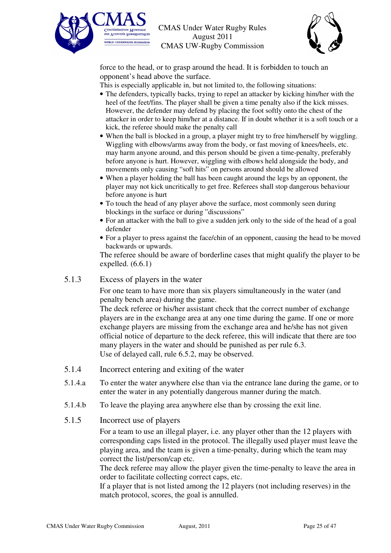![](_page_24_Picture_0.jpeg)

![](_page_24_Picture_2.jpeg)

force to the head, or to grasp around the head. It is forbidden to touch an opponent's head above the surface.

This is especially applicable in, but not limited to, the following situations:

- The defenders, typically backs, trying to repel an attacker by kicking him/her with the heel of the feet/fins. The player shall be given a time penalty also if the kick misses. However, the defender may defend by placing the foot softly onto the chest of the attacker in order to keep him/her at a distance. If in doubt whether it is a soft touch or a kick, the referee should make the penalty call
- When the ball is blocked in a group, a player might try to free him/herself by wiggling. Wiggling with elbows/arms away from the body, or fast moving of knees/heels, etc. may harm anyone around, and this person should be given a time-penalty, preferably before anyone is hurt. However, wiggling with elbows held alongside the body, and movements only causing "soft hits" on persons around should be allowed
- When a player holding the ball has been caught around the legs by an opponent, the player may not kick uncritically to get free. Referees shall stop dangerous behaviour before anyone is hurt
- To touch the head of any player above the surface, most commonly seen during blockings in the surface or during "discussions"
- For an attacker with the ball to give a sudden jerk only to the side of the head of a goal defender
- For a player to press against the face/chin of an opponent, causing the head to be moved backwards or upwards.

The referee should be aware of borderline cases that might qualify the player to be expelled.  $(6.6.1)$ 

#### 5.1.3 Excess of players in the water

For one team to have more than six players simultaneously in the water (and penalty bench area) during the game.

The deck referee or his/her assistant check that the correct number of exchange players are in the exchange area at any one time during the game. If one or more exchange players are missing from the exchange area and he/she has not given official notice of departure to the deck referee, this will indicate that there are too many players in the water and should be punished as per rule 6.3. Use of delayed call, rule 6.5.2, may be observed.

- 5.1.4 Incorrect entering and exiting of the water
- 5.1.4.a To enter the water anywhere else than via the entrance lane during the game, or to enter the water in any potentially dangerous manner during the match.
- 5.1.4.b To leave the playing area anywhere else than by crossing the exit line.

#### 5.1.5 Incorrect use of players

For a team to use an illegal player, i.e. any player other than the 12 players with corresponding caps listed in the protocol. The illegally used player must leave the playing area, and the team is given a time-penalty, during which the team may correct the list/person/cap etc.

The deck referee may allow the player given the time-penalty to leave the area in order to facilitate collecting correct caps, etc.

If a player that is not listed among the 12 players (not including reserves) in the match protocol, scores, the goal is annulled.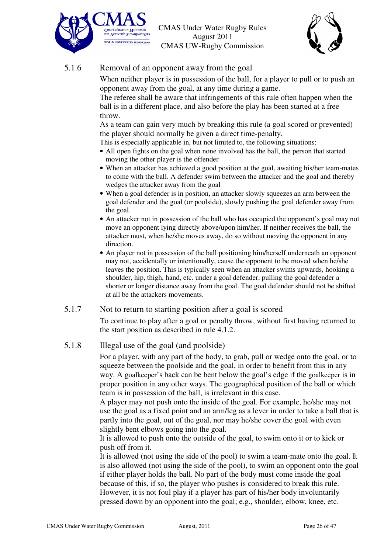![](_page_25_Picture_0.jpeg)

![](_page_25_Picture_2.jpeg)

#### 5.1.6 Removal of an opponent away from the goal

When neither player is in possession of the ball, for a player to pull or to push an opponent away from the goal, at any time during a game.

The referee shall be aware that infringements of this rule often happen when the ball is in a different place, and also before the play has been started at a free throw.

As a team can gain very much by breaking this rule (a goal scored or prevented) the player should normally be given a direct time-penalty.

This is especially applicable in, but not limited to, the following situations;

- All open fights on the goal when none involved has the ball, the person that started moving the other player is the offender
- When an attacker has achieved a good position at the goal, awaiting his/her team-mates to come with the ball. A defender swim between the attacker and the goal and thereby wedges the attacker away from the goal
- When a goal defender is in position, an attacker slowly squeezes an arm between the goal defender and the goal (or poolside), slowly pushing the goal defender away from the goal.
- An attacker not in possession of the ball who has occupied the opponent's goal may not move an opponent lying directly above/upon him/her. If neither receives the ball, the attacker must, when he/she moves away, do so without moving the opponent in any direction.
- An player not in possession of the ball positioning him/herself underneath an opponent may not, accidentally or intentionally, cause the opponent to be moved when he/she leaves the position. This is typically seen when an attacker swims upwards, hooking a shoulder, hip, thigh, hand, etc. under a goal defender, pulling the goal defender a shorter or longer distance away from the goal. The goal defender should not be shifted at all be the attackers movements.

#### 5.1.7 Not to return to starting position after a goal is scored

To continue to play after a goal or penalty throw, without first having returned to the start position as described in rule 4.1.2.

#### 5.1.8 Illegal use of the goal (and poolside)

For a player, with any part of the body, to grab, pull or wedge onto the goal, or to squeeze between the poolside and the goal, in order to benefit from this in any way. A goalkeeper's back can be bent below the goal's edge if the goalkeeper is in proper position in any other ways. The geographical position of the ball or which team is in possession of the ball, is irrelevant in this case.

A player may not push onto the inside of the goal. For example, he/she may not use the goal as a fixed point and an arm/leg as a lever in order to take a ball that is partly into the goal, out of the goal, nor may he/she cover the goal with even slightly bent elbows going into the goal.

It is allowed to push onto the outside of the goal, to swim onto it or to kick or push off from it.

It is allowed (not using the side of the pool) to swim a team-mate onto the goal. It is also allowed (not using the side of the pool), to swim an opponent onto the goal if either player holds the ball. No part of the body must come inside the goal because of this, if so, the player who pushes is considered to break this rule. However, it is not foul play if a player has part of his/her body involuntarily pressed down by an opponent into the goal; e.g., shoulder, elbow, knee, etc.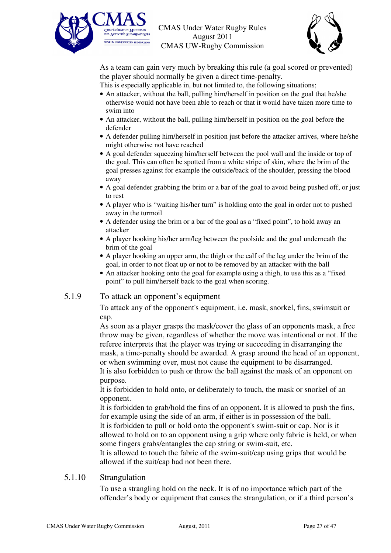![](_page_26_Picture_0.jpeg)

![](_page_26_Picture_2.jpeg)

As a team can gain very much by breaking this rule (a goal scored or prevented) the player should normally be given a direct time-penalty.

This is especially applicable in, but not limited to, the following situations;

- An attacker, without the ball, pulling him/herself in position on the goal that he/she otherwise would not have been able to reach or that it would have taken more time to swim into
- An attacker, without the ball, pulling him/herself in position on the goal before the defender
- A defender pulling him/herself in position just before the attacker arrives, where he/she might otherwise not have reached
- A goal defender squeezing him/herself between the pool wall and the inside or top of the goal. This can often be spotted from a white stripe of skin, where the brim of the goal presses against for example the outside/back of the shoulder, pressing the blood away
- A goal defender grabbing the brim or a bar of the goal to avoid being pushed off, or just to rest
- A player who is "waiting his/her turn" is holding onto the goal in order not to pushed away in the turmoil
- A defender using the brim or a bar of the goal as a "fixed point", to hold away an attacker
- A player hooking his/her arm/leg between the poolside and the goal underneath the brim of the goal
- A player hooking an upper arm, the thigh or the calf of the leg under the brim of the goal, in order to not float up or not to be removed by an attacker with the ball
- An attacker hooking onto the goal for example using a thigh, to use this as a "fixed point" to pull him/herself back to the goal when scoring.

#### 5.1.9 To attack an opponent's equipment

To attack any of the opponent's equipment, i.e. mask, snorkel, fins, swimsuit or cap.

As soon as a player grasps the mask/cover the glass of an opponents mask, a free throw may be given, regardless of whether the move was intentional or not. If the referee interprets that the player was trying or succeeding in disarranging the mask, a time-penalty should be awarded. A grasp around the head of an opponent, or when swimming over, must not cause the equipment to be disarranged. It is also forbidden to push or throw the ball against the mask of an opponent on purpose.

It is forbidden to hold onto, or deliberately to touch, the mask or snorkel of an opponent.

It is forbidden to grab/hold the fins of an opponent. It is allowed to push the fins, for example using the side of an arm, if either is in possession of the ball. It is forbidden to pull or hold onto the opponent's swim-suit or cap. Nor is it allowed to hold on to an opponent using a grip where only fabric is held, or when

some fingers grabs/entangles the cap string or swim-suit, etc.

It is allowed to touch the fabric of the swim-suit/cap using grips that would be allowed if the suit/cap had not been there.

#### 5.1.10 Strangulation

To use a strangling hold on the neck. It is of no importance which part of the offender's body or equipment that causes the strangulation, or if a third person's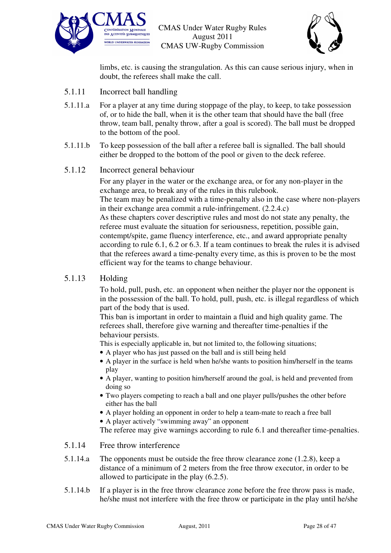![](_page_27_Picture_0.jpeg)

![](_page_27_Picture_2.jpeg)

limbs, etc. is causing the strangulation. As this can cause serious injury, when in doubt, the referees shall make the call.

- 5.1.11 Incorrect ball handling
- 5.1.11.a For a player at any time during stoppage of the play, to keep, to take possession of, or to hide the ball, when it is the other team that should have the ball (free throw, team ball, penalty throw, after a goal is scored). The ball must be dropped to the bottom of the pool.
- 5.1.11.b To keep possession of the ball after a referee ball is signalled. The ball should either be dropped to the bottom of the pool or given to the deck referee.

#### 5.1.12 Incorrect general behaviour

For any player in the water or the exchange area, or for any non-player in the exchange area, to break any of the rules in this rulebook. The team may be penalized with a time-penalty also in the case where non-players in their exchange area commit a rule-infringement. (2.2.4.c) As these chapters cover descriptive rules and most do not state any penalty, the

referee must evaluate the situation for seriousness, repetition, possible gain, contempt/spite, game fluency interference, etc., and award appropriate penalty according to rule 6.1, 6.2 or 6.3. If a team continues to break the rules it is advised that the referees award a time-penalty every time, as this is proven to be the most efficient way for the teams to change behaviour.

#### 5.1.13 Holding

To hold, pull, push, etc. an opponent when neither the player nor the opponent is in the possession of the ball. To hold, pull, push, etc. is illegal regardless of which part of the body that is used.

This ban is important in order to maintain a fluid and high quality game. The referees shall, therefore give warning and thereafter time-penalties if the behaviour persists.

This is especially applicable in, but not limited to, the following situations;

- A player who has just passed on the ball and is still being held
- A player in the surface is held when he/she wants to position him/herself in the teams play
- A player, wanting to position him/herself around the goal, is held and prevented from doing so
- Two players competing to reach a ball and one player pulls/pushes the other before either has the ball
- A player holding an opponent in order to help a team-mate to reach a free ball
- A player actively "swimming away" an opponent

The referee may give warnings according to rule 6.1 and thereafter time-penalties.

- 5.1.14 Free throw interference
- 5.1.14.a The opponents must be outside the free throw clearance zone (1.2.8), keep a distance of a minimum of 2 meters from the free throw executor, in order to be allowed to participate in the play (6.2.5).
- 5.1.14.b If a player is in the free throw clearance zone before the free throw pass is made, he/she must not interfere with the free throw or participate in the play until he/she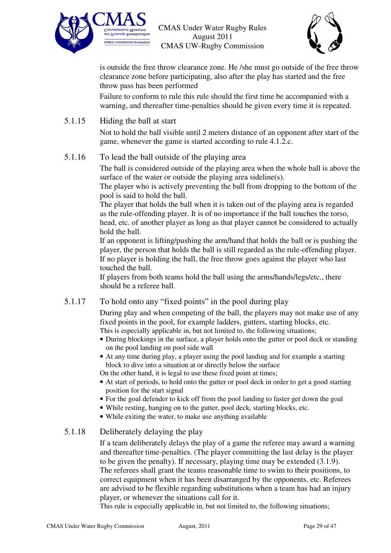![](_page_28_Picture_0.jpeg)

![](_page_28_Picture_2.jpeg)

is outside the free throw clearance zone. He /she must go outside of the free throw clearance zone before participating, also after the play has started and the free throw pass has been performed

Failure to conform to rule this rule should the first time be accompanied with a warning, and thereafter time-penalties should be given every time it is repeated.

#### 5.1.15 Hiding the ball at start

Not to hold the ball visible until 2 meters distance of an opponent after start of the game, whenever the game is started according to rule 4.1.2.c.

#### 5.1.16 To lead the ball outside of the playing area

The ball is considered outside of the playing area when the whole ball is above the surface of the water or outside the playing area sideline(s).

The player who is actively preventing the ball from dropping to the bottom of the pool is said to hold the ball.

The player that holds the ball when it is taken out of the playing area is regarded as the rule-offending player. It is of no importance if the ball touches the torso, head, etc. of another player as long as that player cannot be considered to actually hold the ball.

If an opponent is lifting/pushing the arm/hand that holds the ball or is pushing the player, the person that holds the ball is still regarded as the rule-offending player. If no player is holding the ball, the free throw goes against the player who last touched the ball.

If players from both teams hold the ball using the arms/hands/legs/etc., there should be a referee ball.

#### 5.1.17 To hold onto any "fixed points" in the pool during play

During play and when competing of the ball, the players may not make use of any fixed points in the pool, for example ladders, gutters, starting blocks, etc. This is especially applicable in, but not limited to, the following situations;

- During blockings in the surface, a player holds onto the gutter or pool deck or standing on the pool landing on pool side wall
- At any time during play, a player using the pool landing and for example a starting block to dive into a situation at or directly below the surface

On the other hand, it is legal to use these fixed point at times;

- At start of periods, to hold onto the gutter or pool deck in order to get a good starting position for the start signal
- For the goal defender to kick off from the pool landing to faster get down the goal
- While resting, hanging on to the gutter, pool deck, starting blocks, etc.
- While exiting the water, to make use anything available

#### 5.1.18 Deliberately delaying the play

If a team deliberately delays the play of a game the referee may award a warning and thereafter time-penalties. (The player committing the last delay is the player to be given the penalty). If necessary, playing time may be extended (3.1.9). The referees shall grant the teams reasonable time to swim to their positions, to correct equipment when it has been disarranged by the opponents, etc. Referees are advised to be flexible regarding substitutions when a team has had an injury player, or whenever the situations call for it.

This rule is especially applicable in, but not limited to, the following situations;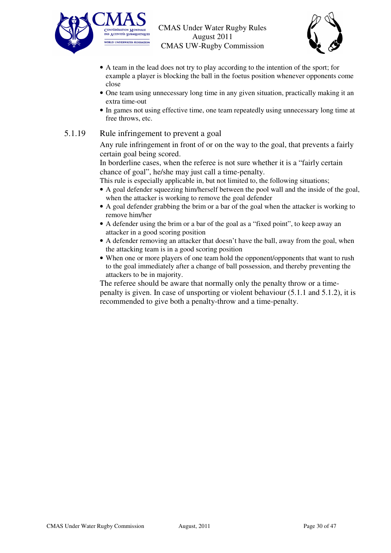![](_page_29_Picture_0.jpeg)

![](_page_29_Picture_2.jpeg)

- A team in the lead does not try to play according to the intention of the sport; for example a player is blocking the ball in the foetus position whenever opponents come close
- One team using unnecessary long time in any given situation, practically making it an extra time-out
- In games not using effective time, one team repeatedly using unnecessary long time at free throws, etc.

#### 5.1.19 Rule infringement to prevent a goal

Any rule infringement in front of or on the way to the goal, that prevents a fairly certain goal being scored.

In borderline cases, when the referee is not sure whether it is a "fairly certain chance of goal", he/she may just call a time-penalty.

This rule is especially applicable in, but not limited to, the following situations;

- A goal defender squeezing him/herself between the pool wall and the inside of the goal, when the attacker is working to remove the goal defender
- A goal defender grabbing the brim or a bar of the goal when the attacker is working to remove him/her
- A defender using the brim or a bar of the goal as a "fixed point", to keep away an attacker in a good scoring position
- A defender removing an attacker that doesn't have the ball, away from the goal, when the attacking team is in a good scoring position
- When one or more players of one team hold the opponent/opponents that want to rush to the goal immediately after a change of ball possession, and thereby preventing the attackers to be in majority.

The referee should be aware that normally only the penalty throw or a timepenalty is given. In case of unsporting or violent behaviour (5.1.1 and 5.1.2), it is recommended to give both a penalty-throw and a time-penalty.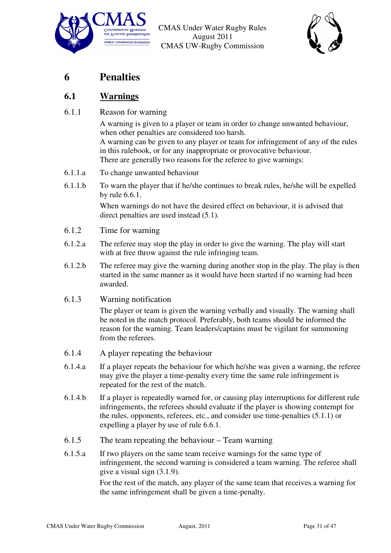![](_page_30_Picture_0.jpeg)

![](_page_30_Picture_2.jpeg)

# **6 Penalties**

# **6.1 Warnings**

#### 6.1.1 Reason for warning

A warning is given to a player or team in order to change unwanted behaviour, when other penalties are considered too harsh. A warning can be given to any player or team for infringement of any of the rules in this rulebook, or for any inappropriate or provocative behaviour. There are generally two reasons for the referee to give warnings:

- 6.1.1.a To change unwanted behaviour
- 6.1.1.b To warn the player that if he/she continues to break rules, he/she will be expelled by rule 6.6.1.

When warnings do not have the desired effect on behaviour, it is advised that direct penalties are used instead (5.1).

- 6.1.2 Time for warning
- 6.1.2.a The referee may stop the play in order to give the warning. The play will start with at free throw against the rule infringing team.
- 6.1.2.b The referee may give the warning during another stop in the play. The play is then started in the same manner as it would have been started if no warning had been awarded.
- 6.1.3 Warning notification

The player or team is given the warning verbally and visually. The warning shall be noted in the match protocol. Preferably, both teams should be informed the reason for the warning. Team leaders/captains must be vigilant for summoning from the referees.

- 6.1.4 A player repeating the behaviour
- 6.1.4.a If a player repeats the behaviour for which he/she was given a warning, the referee may give the player a time-penalty every time the same rule infringement is repeated for the rest of the match.
- 6.1.4.b If a player is repeatedly warned for, or causing play interruptions for different rule infringements, the referees should evaluate if the player is showing contempt for the rules, opponents, referees, etc., and consider use time-penalties (5.1.1) or expelling a player by use of rule 6.6.1.
- 6.1.5 The team repeating the behaviour Team warning
- 6.1.5.a If two players on the same team receive warnings for the same type of infringement, the second warning is considered a team warning. The referee shall give a visual sign (3.1.9).

For the rest of the match, any player of the same team that receives a warning for the same infringement shall be given a time-penalty.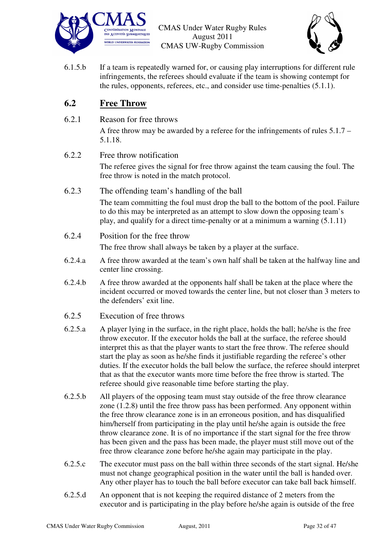![](_page_31_Picture_0.jpeg)

![](_page_31_Picture_2.jpeg)

6.1.5.b If a team is repeatedly warned for, or causing play interruptions for different rule infringements, the referees should evaluate if the team is showing contempt for the rules, opponents, referees, etc., and consider use time-penalties (5.1.1).

### **6.2 Free Throw**

6.2.1 Reason for free throws

A free throw may be awarded by a referee for the infringements of rules 5.1.7 – 5.1.18.

6.2.2 Free throw notification

The referee gives the signal for free throw against the team causing the foul. The free throw is noted in the match protocol.

- 6.2.3 The offending team's handling of the ball The team committing the foul must drop the ball to the bottom of the pool. Failure to do this may be interpreted as an attempt to slow down the opposing team's play, and qualify for a direct time-penalty or at a minimum a warning (5.1.11)
- 6.2.4 Position for the free throw

The free throw shall always be taken by a player at the surface.

- 6.2.4.a A free throw awarded at the team's own half shall be taken at the halfway line and center line crossing.
- 6.2.4.b A free throw awarded at the opponents half shall be taken at the place where the incident occurred or moved towards the center line, but not closer than 3 meters to the defenders' exit line.
- 6.2.5 Execution of free throws
- 6.2.5.a A player lying in the surface, in the right place, holds the ball; he/she is the free throw executor. If the executor holds the ball at the surface, the referee should interpret this as that the player wants to start the free throw. The referee should start the play as soon as he/she finds it justifiable regarding the referee's other duties. If the executor holds the ball below the surface, the referee should interpret that as that the executor wants more time before the free throw is started. The referee should give reasonable time before starting the play.
- 6.2.5.b All players of the opposing team must stay outside of the free throw clearance zone (1.2.8) until the free throw pass has been performed. Any opponent within the free throw clearance zone is in an erroneous position, and has disqualified him/herself from participating in the play until he/she again is outside the free throw clearance zone. It is of no importance if the start signal for the free throw has been given and the pass has been made, the player must still move out of the free throw clearance zone before he/she again may participate in the play.
- 6.2.5.c The executor must pass on the ball within three seconds of the start signal. He/she must not change geographical position in the water until the ball is handed over. Any other player has to touch the ball before executor can take ball back himself.
- 6.2.5.d An opponent that is not keeping the required distance of 2 meters from the executor and is participating in the play before he/she again is outside of the free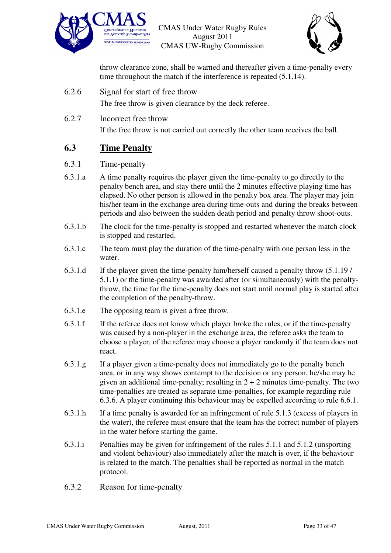![](_page_32_Picture_0.jpeg)

![](_page_32_Picture_2.jpeg)

throw clearance zone, shall be warned and thereafter given a time-penalty every time throughout the match if the interference is repeated (5.1.14).

- 6.2.6 Signal for start of free throw The free throw is given clearance by the deck referee.
- 6.2.7 Incorrect free throw If the free throw is not carried out correctly the other team receives the ball.

# **6.3 Time Penalty**

#### 6.3.1 Time-penalty

- 6.3.1.a A time penalty requires the player given the time-penalty to go directly to the penalty bench area, and stay there until the 2 minutes effective playing time has elapsed. No other person is allowed in the penalty box area. The player may join his/her team in the exchange area during time-outs and during the breaks between periods and also between the sudden death period and penalty throw shoot-outs.
- 6.3.1.b The clock for the time-penalty is stopped and restarted whenever the match clock is stopped and restarted.
- 6.3.1.c The team must play the duration of the time-penalty with one person less in the water.
- 6.3.1.d If the player given the time-penalty him/herself caused a penalty throw (5.1.19 / 5.1.1) or the time-penalty was awarded after (or simultaneously) with the penaltythrow, the time for the time-penalty does not start until normal play is started after the completion of the penalty-throw.
- 6.3.1.e The opposing team is given a free throw.
- 6.3.1.f If the referee does not know which player broke the rules, or if the time-penalty was caused by a non-player in the exchange area, the referee asks the team to choose a player, of the referee may choose a player randomly if the team does not react.
- 6.3.1.g If a player given a time-penalty does not immediately go to the penalty bench area, or in any way shows contempt to the decision or any person, he/she may be given an additional time-penalty; resulting in  $2 + 2$  minutes time-penalty. The two time-penalties are treated as separate time-penalties, for example regarding rule 6.3.6. A player continuing this behaviour may be expelled according to rule 6.6.1.
- 6.3.1.h If a time penalty is awarded for an infringement of rule 5.1.3 (excess of players in the water), the referee must ensure that the team has the correct number of players in the water before starting the game.
- 6.3.1.i Penalties may be given for infringement of the rules 5.1.1 and 5.1.2 (unsporting and violent behaviour) also immediately after the match is over, if the behaviour is related to the match. The penalties shall be reported as normal in the match protocol.
- 6.3.2 Reason for time-penalty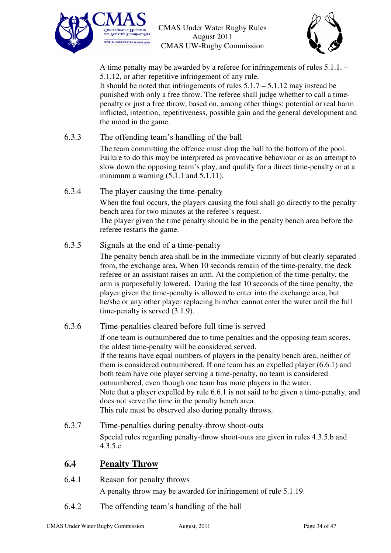![](_page_33_Picture_0.jpeg)

![](_page_33_Picture_2.jpeg)

A time penalty may be awarded by a referee for infringements of rules 5.1.1. – 5.1.12, or after repetitive infringement of any rule.

It should be noted that infringements of rules  $5.1.7 - 5.1.12$  may instead be punished with only a free throw. The referee shall judge whether to call a timepenalty or just a free throw, based on, among other things; potential or real harm inflicted, intention, repetitiveness, possible gain and the general development and the mood in the game.

6.3.3 The offending team's handling of the ball

The team committing the offence must drop the ball to the bottom of the pool. Failure to do this may be interpreted as provocative behaviour or as an attempt to slow down the opposing team's play, and qualify for a direct time-penalty or at a minimum a warning  $(5.1.1$  and  $5.1.11)$ .

- 6.3.4 The player causing the time-penalty When the foul occurs, the players causing the foul shall go directly to the penalty bench area for two minutes at the referee's request. The player given the time penalty should be in the penalty bench area before the referee restarts the game.
- 6.3.5 Signals at the end of a time-penalty

The penalty bench area shall be in the immediate vicinity of but clearly separated from, the exchange area. When 10 seconds remain of the time-penalty, the deck referee or an assistant raises an arm. At the completion of the time-penalty, the arm is purposefully lowered. During the last 10 seconds of the time penalty, the player given the time-penalty is allowed to enter into the exchange area, but he/she or any other player replacing him/her cannot enter the water until the full time-penalty is served (3.1.9).

6.3.6 Time-penalties cleared before full time is served

If one team is outnumbered due to time penalties and the opposing team scores, the oldest time-penalty will be considered served. If the teams have equal numbers of players in the penalty bench area, neither of them is considered outnumbered. If one team has an expelled player (6.6.1) and both team have one player serving a time-penalty, no team is considered outnumbered, even though one team has more players in the water. Note that a player expelled by rule 6.6.1 is not said to be given a time-penalty, and does not serve the time in the penalty bench area. This rule must be observed also during penalty throws.

6.3.7 Time-penalties during penalty-throw shoot-outs Special rules regarding penalty-throw shoot-outs are given in rules 4.3.5.b and 4.3.5.c.

# **6.4 Penalty Throw**

- 6.4.1 Reason for penalty throws A penalty throw may be awarded for infringement of rule 5.1.19.
- 6.4.2 The offending team's handling of the ball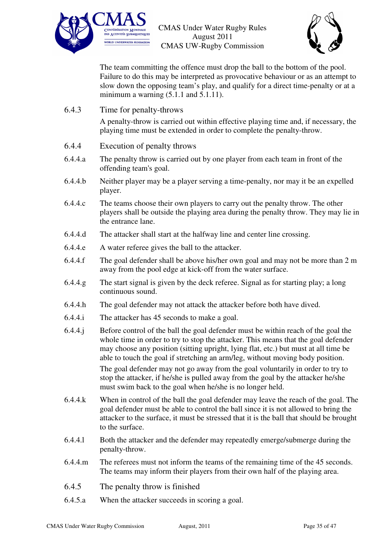![](_page_34_Picture_0.jpeg)

![](_page_34_Picture_2.jpeg)

The team committing the offence must drop the ball to the bottom of the pool. Failure to do this may be interpreted as provocative behaviour or as an attempt to slow down the opposing team's play, and qualify for a direct time-penalty or at a minimum a warning  $(5.1.1$  and  $5.1.11)$ .

6.4.3 Time for penalty-throws

A penalty-throw is carried out within effective playing time and, if necessary, the playing time must be extended in order to complete the penalty-throw.

- 6.4.4 Execution of penalty throws
- 6.4.4.a The penalty throw is carried out by one player from each team in front of the offending team's goal.
- 6.4.4.b Neither player may be a player serving a time-penalty, nor may it be an expelled player.
- 6.4.4.c The teams choose their own players to carry out the penalty throw. The other players shall be outside the playing area during the penalty throw. They may lie in the entrance lane.
- 6.4.4.d The attacker shall start at the halfway line and center line crossing.
- 6.4.4.e A water referee gives the ball to the attacker.
- 6.4.4.f The goal defender shall be above his/her own goal and may not be more than 2 m away from the pool edge at kick-off from the water surface.
- 6.4.4.g The start signal is given by the deck referee. Signal as for starting play; a long continuous sound.
- 6.4.4.h The goal defender may not attack the attacker before both have dived.
- 6.4.4.i The attacker has 45 seconds to make a goal.
- 6.4.4.j Before control of the ball the goal defender must be within reach of the goal the whole time in order to try to stop the attacker. This means that the goal defender may choose any position (sitting upright, lying flat, etc.) but must at all time be able to touch the goal if stretching an arm/leg, without moving body position. The goal defender may not go away from the goal voluntarily in order to try to stop the attacker, if he/she is pulled away from the goal by the attacker he/she must swim back to the goal when he/she is no longer held.
- 6.4.4.k When in control of the ball the goal defender may leave the reach of the goal. The goal defender must be able to control the ball since it is not allowed to bring the attacker to the surface, it must be stressed that it is the ball that should be brought to the surface.
- 6.4.4.l Both the attacker and the defender may repeatedly emerge/submerge during the penalty-throw.
- 6.4.4.m The referees must not inform the teams of the remaining time of the 45 seconds. The teams may inform their players from their own half of the playing area.
- 6.4.5 The penalty throw is finished
- 6.4.5.a When the attacker succeeds in scoring a goal.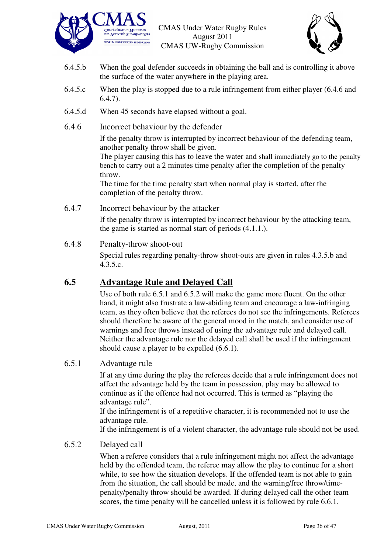![](_page_35_Picture_0.jpeg)

![](_page_35_Picture_2.jpeg)

- 6.4.5.b When the goal defender succeeds in obtaining the ball and is controlling it above the surface of the water anywhere in the playing area.
- 6.4.5.c When the play is stopped due to a rule infringement from either player (6.4.6 and  $6.4.7$ ).
- 6.4.5.d When 45 seconds have elapsed without a goal.
- 6.4.6 Incorrect behaviour by the defender

If the penalty throw is interrupted by incorrect behaviour of the defending team, another penalty throw shall be given.

The player causing this has to leave the water and shall immediately go to the penalty bench to carry out a 2 minutes time penalty after the completion of the penalty throw.

The time for the time penalty start when normal play is started, after the completion of the penalty throw.

#### 6.4.7 Incorrect behaviour by the attacker

If the penalty throw is interrupted by incorrect behaviour by the attacking team, the game is started as normal start of periods (4.1.1.).

#### 6.4.8 Penalty-throw shoot-out

Special rules regarding penalty-throw shoot-outs are given in rules 4.3.5.b and 4.3.5.c.

## **6.5 Advantage Rule and Delayed Call**

Use of both rule 6.5.1 and 6.5.2 will make the game more fluent. On the other hand, it might also frustrate a law-abiding team and encourage a law-infringing team, as they often believe that the referees do not see the infringements. Referees should therefore be aware of the general mood in the match, and consider use of warnings and free throws instead of using the advantage rule and delayed call. Neither the advantage rule nor the delayed call shall be used if the infringement should cause a player to be expelled (6.6.1).

#### 6.5.1 Advantage rule

If at any time during the play the referees decide that a rule infringement does not affect the advantage held by the team in possession, play may be allowed to continue as if the offence had not occurred. This is termed as "playing the advantage rule".

If the infringement is of a repetitive character, it is recommended not to use the advantage rule.

If the infringement is of a violent character, the advantage rule should not be used.

#### 6.5.2 Delayed call

When a referee considers that a rule infringement might not affect the advantage held by the offended team, the referee may allow the play to continue for a short while, to see how the situation develops. If the offended team is not able to gain from the situation, the call should be made, and the warning/free throw/timepenalty/penalty throw should be awarded. If during delayed call the other team scores, the time penalty will be cancelled unless it is followed by rule 6.6.1.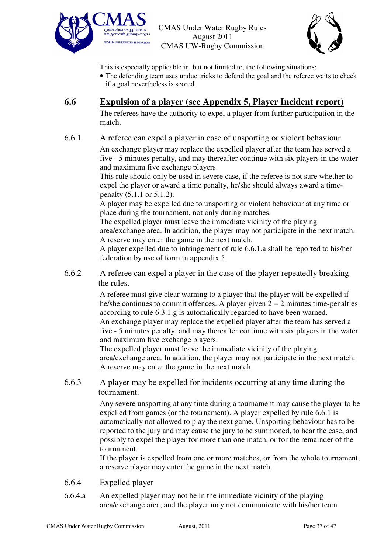![](_page_36_Picture_0.jpeg)

![](_page_36_Picture_2.jpeg)

This is especially applicable in, but not limited to, the following situations;

• The defending team uses undue tricks to defend the goal and the referee waits to check if a goal nevertheless is scored.

## **6.6 Expulsion of a player (see Appendix 5, Player Incident report)**

The referees have the authority to expel a player from further participation in the match.

6.6.1 A referee can expel a player in case of unsporting or violent behaviour.

An exchange player may replace the expelled player after the team has served a five - 5 minutes penalty, and may thereafter continue with six players in the water and maximum five exchange players.

This rule should only be used in severe case, if the referee is not sure whether to expel the player or award a time penalty, he/she should always award a timepenalty (5.1.1 or 5.1.2).

A player may be expelled due to unsporting or violent behaviour at any time or place during the tournament, not only during matches.

The expelled player must leave the immediate vicinity of the playing area/exchange area. In addition, the player may not participate in the next match. A reserve may enter the game in the next match.

A player expelled due to infringement of rule 6.6.1.a shall be reported to his/her federation by use of form in appendix 5.

6.6.2 A referee can expel a player in the case of the player repeatedly breaking the rules.

> A referee must give clear warning to a player that the player will be expelled if he/she continues to commit offences. A player given  $2 + 2$  minutes time-penalties according to rule 6.3.1.g is automatically regarded to have been warned. An exchange player may replace the expelled player after the team has served a five - 5 minutes penalty, and may thereafter continue with six players in the water and maximum five exchange players.

The expelled player must leave the immediate vicinity of the playing area/exchange area. In addition, the player may not participate in the next match. A reserve may enter the game in the next match.

6.6.3 A player may be expelled for incidents occurring at any time during the tournament.

> Any severe unsporting at any time during a tournament may cause the player to be expelled from games (or the tournament). A player expelled by rule 6.6.1 is automatically not allowed to play the next game. Unsporting behaviour has to be reported to the jury and may cause the jury to be summoned, to hear the case, and possibly to expel the player for more than one match, or for the remainder of the tournament.

> If the player is expelled from one or more matches, or from the whole tournament, a reserve player may enter the game in the next match.

- 6.6.4 Expelled player
- 6.6.4.a An expelled player may not be in the immediate vicinity of the playing area/exchange area, and the player may not communicate with his/her team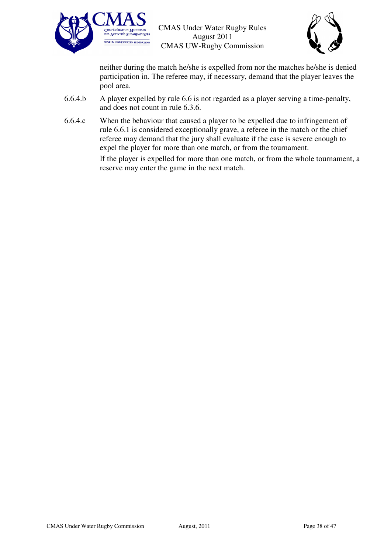![](_page_37_Picture_0.jpeg)

![](_page_37_Picture_2.jpeg)

neither during the match he/she is expelled from nor the matches he/she is denied participation in. The referee may, if necessary, demand that the player leaves the pool area.

- 6.6.4.b A player expelled by rule 6.6 is not regarded as a player serving a time-penalty, and does not count in rule 6.3.6.
- 6.6.4.c When the behaviour that caused a player to be expelled due to infringement of rule 6.6.1 is considered exceptionally grave, a referee in the match or the chief referee may demand that the jury shall evaluate if the case is severe enough to expel the player for more than one match, or from the tournament.

If the player is expelled for more than one match, or from the whole tournament, a reserve may enter the game in the next match.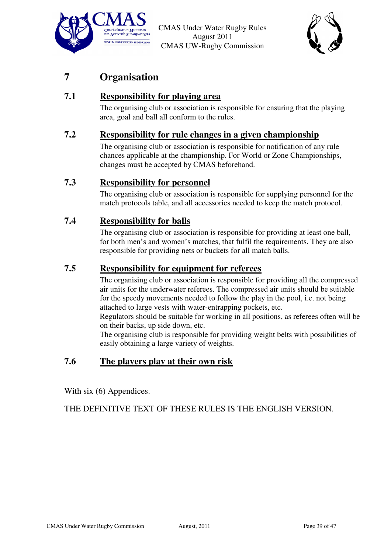![](_page_38_Picture_0.jpeg)

![](_page_38_Picture_2.jpeg)

# **7 Organisation**

# **7.1 Responsibility for playing area**

The organising club or association is responsible for ensuring that the playing area, goal and ball all conform to the rules.

### **7.2 Responsibility for rule changes in a given championship**

The organising club or association is responsible for notification of any rule chances applicable at the championship. For World or Zone Championships, changes must be accepted by CMAS beforehand.

### **7.3 Responsibility for personnel**

The organising club or association is responsible for supplying personnel for the match protocols table, and all accessories needed to keep the match protocol.

### **7.4 Responsibility for balls**

The organising club or association is responsible for providing at least one ball, for both men's and women's matches, that fulfil the requirements. They are also responsible for providing nets or buckets for all match balls.

#### **7.5 Responsibility for equipment for referees**

The organising club or association is responsible for providing all the compressed air units for the underwater referees. The compressed air units should be suitable for the speedy movements needed to follow the play in the pool, i.e. not being attached to large vests with water-entrapping pockets, etc.

Regulators should be suitable for working in all positions, as referees often will be on their backs, up side down, etc.

The organising club is responsible for providing weight belts with possibilities of easily obtaining a large variety of weights.

# **7.6 The players play at their own risk**

With six (6) Appendices.

THE DEFINITIVE TEXT OF THESE RULES IS THE ENGLISH VERSION.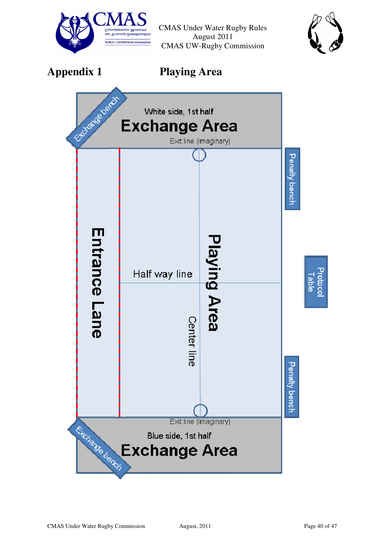![](_page_39_Picture_0.jpeg)

![](_page_39_Picture_2.jpeg)

**Appendix 1 Playing Area** 

![](_page_39_Figure_5.jpeg)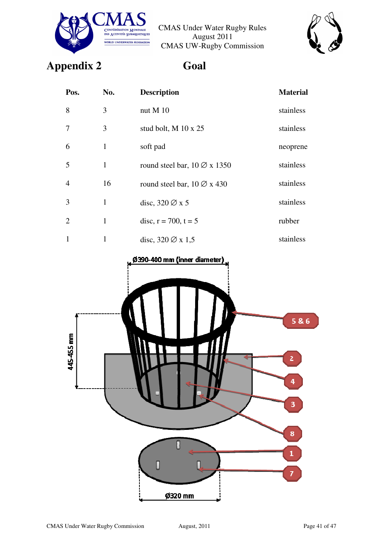![](_page_40_Picture_0.jpeg)

![](_page_40_Picture_2.jpeg)

# **Appendix 2 Goal**

| Pos.                        | No.          | <b>Description</b>                      | <b>Material</b> |
|-----------------------------|--------------|-----------------------------------------|-----------------|
| 8                           | 3            | nut M 10                                | stainless       |
| 7                           | 3            | stud bolt, M 10 x 25                    | stainless       |
| 6                           | 1            | soft pad                                | neoprene        |
| 5                           | 1            | round steel bar, $10\varnothing$ x 1350 | stainless       |
| $\overline{4}$              | 16           | round steel bar, $10\varnothing$ x 430  | stainless       |
| 3                           | $\mathbf{1}$ | disc, $320 \oslash x 5$                 | stainless       |
| $\mathcal{D}_{\mathcal{L}}$ | 1            | disc, $r = 700$ , $t = 5$               | rubber          |
| 1                           | 1            | disc, $320\varnothing$ x 1,5            | stainless       |

![](_page_40_Figure_6.jpeg)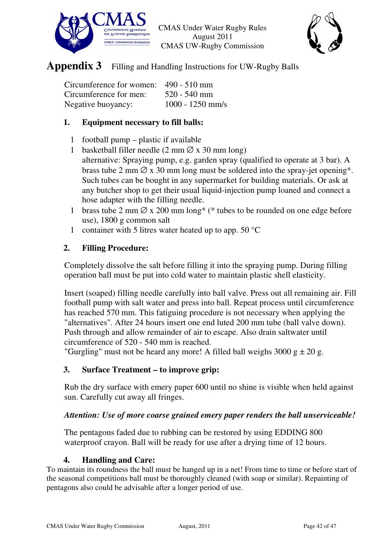![](_page_41_Picture_0.jpeg)

![](_page_41_Picture_2.jpeg)

# **Appendix 3** Filling and Handling Instructions for UW-Rugby Balls

| Circumference for women: 490 - 510 mm |                    |
|---------------------------------------|--------------------|
| Circumference for men:                | $520 - 540$ mm     |
| Negative buoyancy:                    | $1000 - 1250$ mm/s |

#### **1. Equipment necessary to fill balls:**

- 1 football pump plastic if available
- 1 basketball filler needle  $(2 \text{ mm } \varnothing \text{ x } 30 \text{ mm long})$  alternative: Spraying pump, e.g. garden spray (qualified to operate at 3 bar). A brass tube 2 mm  $\varnothing$  x 30 mm long must be soldered into the spray-jet opening\*. Such tubes can be bought in any supermarket for building materials. Or ask at any butcher shop to get their usual liquid-injection pump loaned and connect a
- hose adapter with the filling needle.
- 1 brass tube 2 mm  $\varnothing$  x 200 mm long\* (\* tubes to be rounded on one edge before use), 1800 g common salt
- 1 container with 5 litres water heated up to app. 50  $^{\circ}$ C

### **2. Filling Procedure:**

Completely dissolve the salt before filling it into the spraying pump. During filling operation ball must be put into cold water to maintain plastic shell elasticity.

Insert (soaped) filling needle carefully into ball valve. Press out all remaining air. Fill football pump with salt water and press into ball. Repeat process until circumference has reached 570 mm. This fatiguing procedure is not necessary when applying the "alternatives". After 24 hours insert one end luted 200 mm tube (ball valve down). Push through and allow remainder of air to escape. Also drain saltwater until circumference of 520 - 540 mm is reached.

"Gurgling" must not be heard any more! A filled ball weighs  $3000 \text{ g} \pm 20 \text{ g}$ .

## **3. Surface Treatment – to improve grip:**

Rub the dry surface with emery paper 600 until no shine is visible when held against sun. Carefully cut away all fringes.

#### *Attention: Use of more coarse grained emery paper renders the ball unserviceable!*

The pentagons faded due to rubbing can be restored by using EDDING 800 waterproof crayon. Ball will be ready for use after a drying time of 12 hours.

#### **4. Handling and Care:**

To maintain its roundness the ball must be hanged up in a net! From time to time or before start of the seasonal competitions ball must be thoroughly cleaned (with soap or similar). Repainting of pentagons also could be advisable after a longer period of use.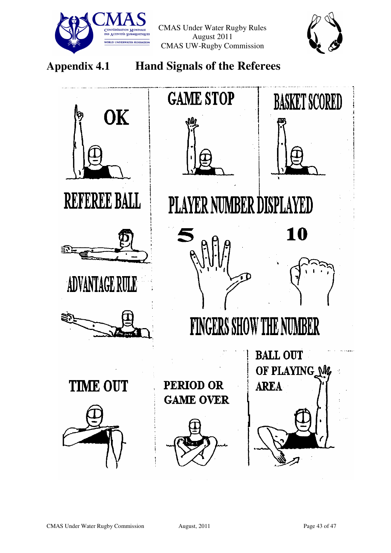![](_page_42_Picture_0.jpeg)

![](_page_42_Picture_2.jpeg)

# **Appendix 4.1 Hand Signals of the Referees**

![](_page_42_Figure_5.jpeg)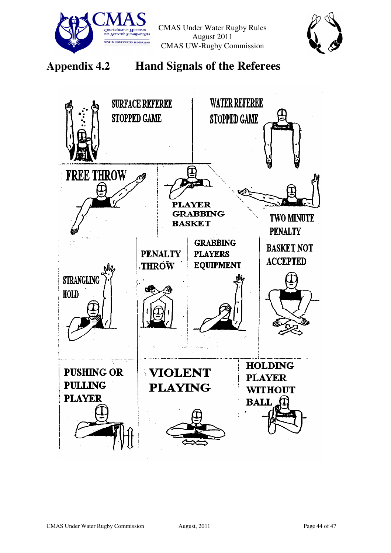![](_page_43_Picture_0.jpeg)

![](_page_43_Picture_2.jpeg)

**Appendix 4.2 Hand Signals of the Referees** 

![](_page_43_Picture_4.jpeg)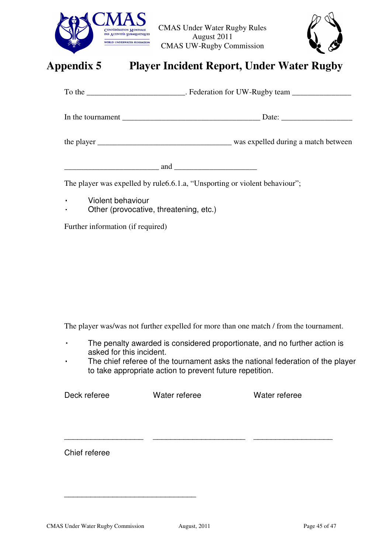![](_page_44_Picture_0.jpeg)

![](_page_44_Picture_2.jpeg)

# **Appendix 5 Player Incident Report, Under Water Rugby**

|                                                                                                                                                                                                                                                                                               | To the ________________________________. Federation for UW-Rugby team ______________________________ |
|-----------------------------------------------------------------------------------------------------------------------------------------------------------------------------------------------------------------------------------------------------------------------------------------------|------------------------------------------------------------------------------------------------------|
|                                                                                                                                                                                                                                                                                               |                                                                                                      |
|                                                                                                                                                                                                                                                                                               |                                                                                                      |
| $\frac{1}{2}$ and $\frac{1}{2}$ and $\frac{1}{2}$ and $\frac{1}{2}$ and $\frac{1}{2}$ and $\frac{1}{2}$ and $\frac{1}{2}$ and $\frac{1}{2}$ and $\frac{1}{2}$ and $\frac{1}{2}$ and $\frac{1}{2}$ and $\frac{1}{2}$ and $\frac{1}{2}$ and $\frac{1}{2}$ and $\frac{1}{2}$ and $\frac{1}{2}$ a |                                                                                                      |
|                                                                                                                                                                                                                                                                                               | The player was expelled by rule 6.6.1.a, "Unsporting or violent behaviour";                          |

- ⃟ Violent behaviour
- ⃟ Other (provocative, threatening, etc.)

Further information (if required)

The player was/was not further expelled for more than one match / from the tournament.

⃟ The penalty awarded is considered proportionate, and no further action is asked for this incident.

\_\_\_\_\_\_\_\_\_\_\_\_\_\_\_\_\_\_ \_\_\_\_\_\_\_\_\_\_\_\_\_\_\_\_\_\_\_\_\_ \_\_\_\_\_\_\_\_\_\_\_\_\_\_\_\_\_\_

The chief referee of the tournament asks the national federation of the player to take appropriate action to prevent future repetition.

Deck referee Water referee Water referee

Chief referee

\_\_\_\_\_\_\_\_\_\_\_\_\_\_\_\_\_\_\_\_\_\_\_\_\_\_\_\_\_\_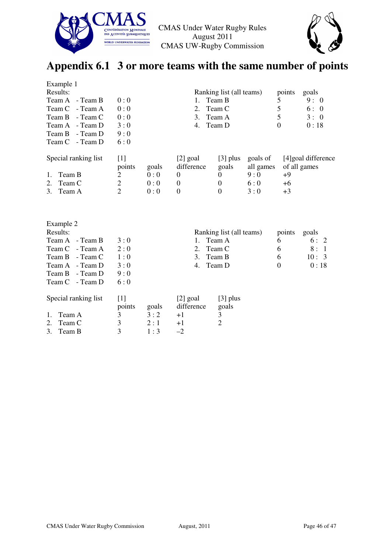![](_page_45_Picture_0.jpeg)

![](_page_45_Picture_2.jpeg)

# **Appendix 6.1 3 or more teams with the same number of points**

| Example 1            |                          |       |                  |                          |           |                |                      |
|----------------------|--------------------------|-------|------------------|--------------------------|-----------|----------------|----------------------|
| Results:             | Ranking list (all teams) |       |                  | points                   | goals     |                |                      |
| Team A<br>- Team B   |                          | 1.    | Team B           |                          | 5         | 9:0            |                      |
| Team C<br>- Team A   | 0:0                      |       | 2.               | Team C                   |           | 5              | 6:0                  |
| - Team C<br>Team B   | 0:0                      |       | 3.               | Team A                   |           | 5              | 3:0                  |
| - Team D<br>Team A   | 3:0                      |       | 4.               | Team D                   |           | $\overline{0}$ | 0:18                 |
| Team B<br>- Team D   | 9:0                      |       |                  |                          |           |                |                      |
| - Team D<br>Team C   | 6:0                      |       |                  |                          |           |                |                      |
|                      |                          |       |                  |                          |           |                |                      |
| Special ranking list | $[1]$                    |       | [2] goal         | $[3]$ plus               | goals of  |                | [4] goal difference  |
|                      | points                   | goals | difference       | goals                    | all games |                | of all games         |
| Team B<br>1.         | $\overline{2}$           | 0:0   | $\theta$         | $\overline{0}$           | 9:0       | $+9$           |                      |
| Team C<br>2.         | $\overline{2}$           | 0:0   | $\boldsymbol{0}$ | $\Omega$                 | 6:0       | $+6$           |                      |
| 3.<br>Team A         | $\overline{2}$           | 0:0   | $\boldsymbol{0}$ | $\overline{0}$           | 3:0       | $+3$           |                      |
|                      |                          |       |                  |                          |           |                |                      |
|                      |                          |       |                  |                          |           |                |                      |
|                      |                          |       |                  |                          |           |                |                      |
| Example 2            |                          |       |                  |                          |           |                |                      |
| Results:             |                          |       |                  | Ranking list (all teams) |           | points         | goals                |
| - Team B<br>Team A   | 3:0                      |       | $1_{\cdot}$      | Team A                   |           | 6              | 6:2                  |
| Team C<br>- Team A   | 2:0                      |       | 2.               | Team C                   |           | 6              | 8:<br>$\overline{1}$ |
| - Team C<br>Team B   | 1:0                      |       | 3.               | Team B                   |           | 6              | 10:3                 |
| - Team D<br>Team A   | 3:0                      |       | 4.               | Team D                   |           | $\theta$       | 0:18                 |
|                      |                          |       |                  |                          |           |                |                      |
| Team B<br>- Team D   | 9:0                      |       |                  |                          |           |                |                      |
| - Team D<br>Team C   | 6:0                      |       |                  |                          |           |                |                      |
|                      |                          |       |                  |                          |           |                |                      |
| Special ranking list | $[1]$                    |       | [2] goal         | $[3]$ plus               |           |                |                      |
|                      | points                   | goals | difference       | goals                    |           |                |                      |
| Team A<br>1.         | 3                        | 3:2   | $+1$             | 3                        |           |                |                      |
| Team C<br>2.         | 3                        | 2:1   | $+1$             | $\overline{2}$           |           |                |                      |
| 3.<br>Team B         | 3                        | 1:3   | $-2$             |                          |           |                |                      |